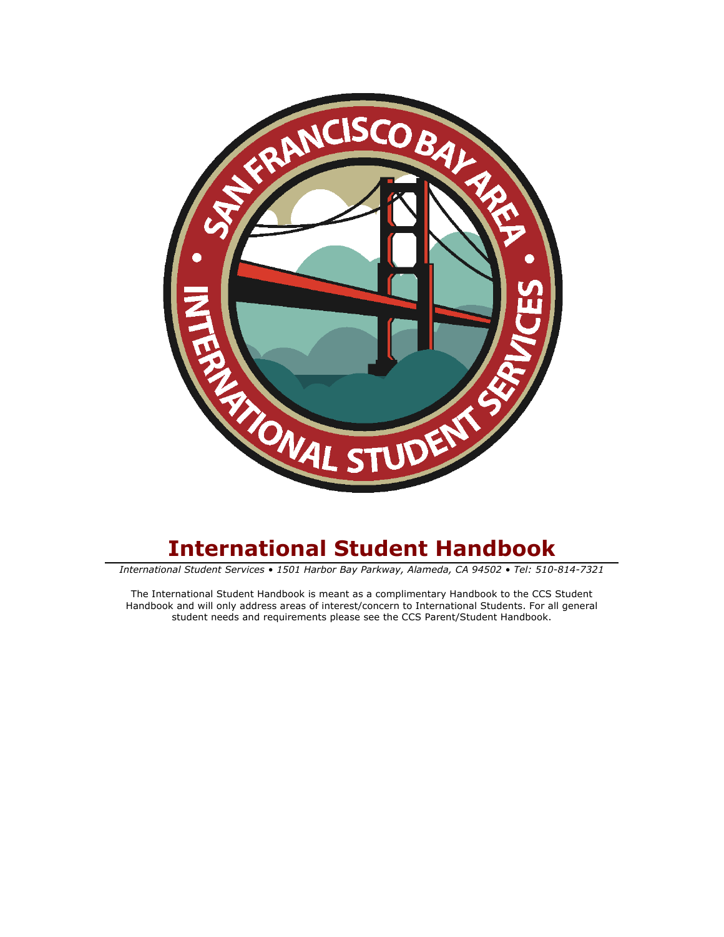

# **International Student Handbook**

*International Student Services • 1501 Harbor Bay Parkway, Alameda, CA 94502 • Tel: 510-814-7321*

The International Student Handbook is meant as a complimentary Handbook to the CCS Student Handbook and will only address areas of interest/concern to International Students. For all general student needs and requirements please see the CCS Parent/Student Handbook.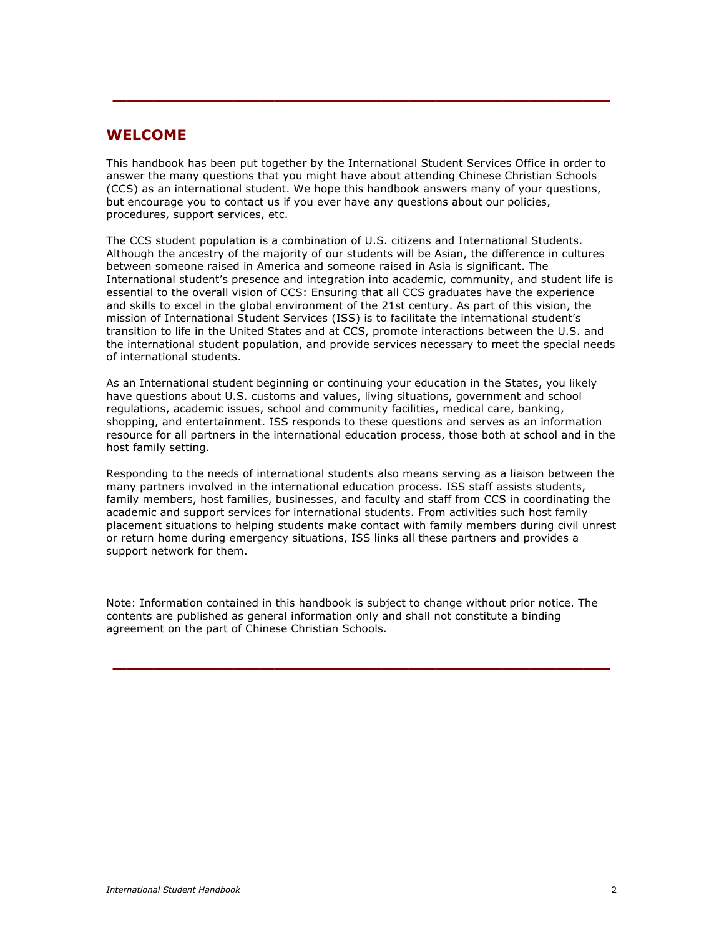## **WELCOME**

This handbook has been put together by the International Student Services Office in order to answer the many questions that you might have about attending Chinese Christian Schools (CCS) as an international student. We hope this handbook answers many of your questions, but encourage you to contact us if you ever have any questions about our policies, procedures, support services, etc.

**\_\_\_\_\_\_\_\_\_\_\_\_\_\_\_\_\_\_\_\_\_\_\_\_\_\_\_\_\_\_\_\_\_\_\_\_\_**

The CCS student population is a combination of U.S. citizens and International Students. Although the ancestry of the majority of our students will be Asian, the difference in cultures between someone raised in America and someone raised in Asia is significant. The International student's presence and integration into academic, community, and student life is essential to the overall vision of CCS: Ensuring that all CCS graduates have the experience and skills to excel in the global environment of the 21st century. As part of this vision, the mission of International Student Services (ISS) is to facilitate the international student's transition to life in the United States and at CCS, promote interactions between the U.S. and the international student population, and provide services necessary to meet the special needs of international students.

As an International student beginning or continuing your education in the States, you likely have questions about U.S. customs and values, living situations, government and school regulations, academic issues, school and community facilities, medical care, banking, shopping, and entertainment. ISS responds to these questions and serves as an information resource for all partners in the international education process, those both at school and in the host family setting.

Responding to the needs of international students also means serving as a liaison between the many partners involved in the international education process. ISS staff assists students, family members, host families, businesses, and faculty and staff from CCS in coordinating the academic and support services for international students. From activities such host family placement situations to helping students make contact with family members during civil unrest or return home during emergency situations, ISS links all these partners and provides a support network for them.

Note: Information contained in this handbook is subject to change without prior notice. The contents are published as general information only and shall not constitute a binding agreement on the part of Chinese Christian Schools.

**\_\_\_\_\_\_\_\_\_\_\_\_\_\_\_\_\_\_\_\_\_\_\_\_\_\_\_\_\_\_\_\_\_\_\_\_\_**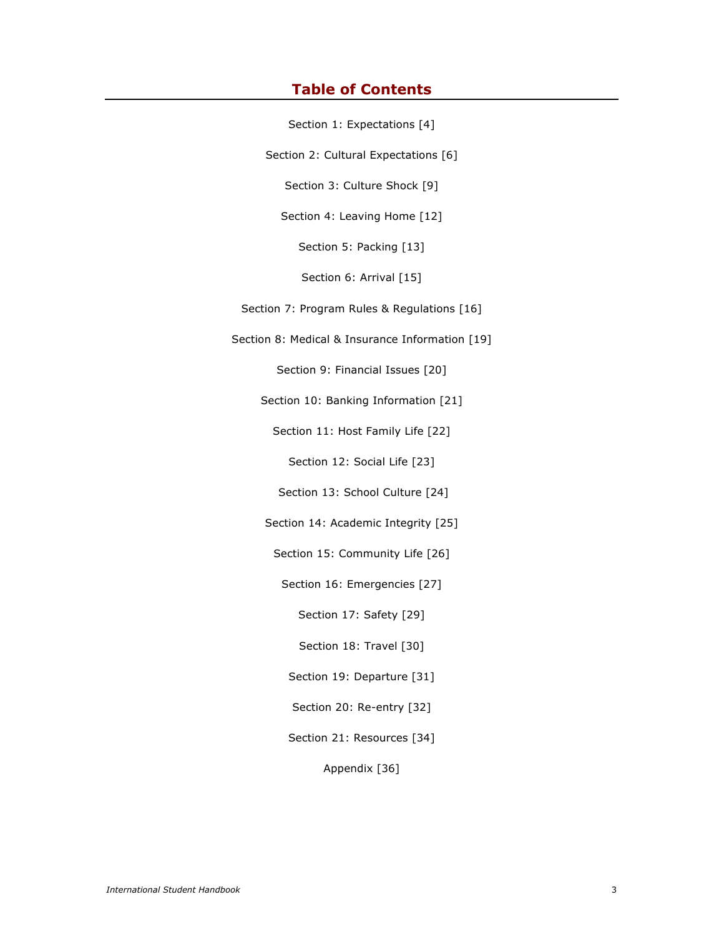## **Table of Contents**

Section 1: Expectations [4]

Section 2: Cultural Expectations [6]

Section 3: Culture Shock [9]

Section 4: Leaving Home [12]

Section 5: Packing [13]

Section 6: Arrival [15]

Section 7: Program Rules & Regulations [16]

Section 8: Medical & Insurance Information [19]

Section 9: Financial Issues [20]

Section 10: Banking Information [21]

Section 11: Host Family Life [22]

Section 12: Social Life [23]

Section 13: School Culture [24]

Section 14: Academic Integrity [25]

Section 15: Community Life [26]

Section 16: Emergencies [27]

Section 17: Safety [29]

Section 18: Travel [30]

Section 19: Departure [31]

Section 20: Re-entry [32]

Section 21: Resources [34]

Appendix [36]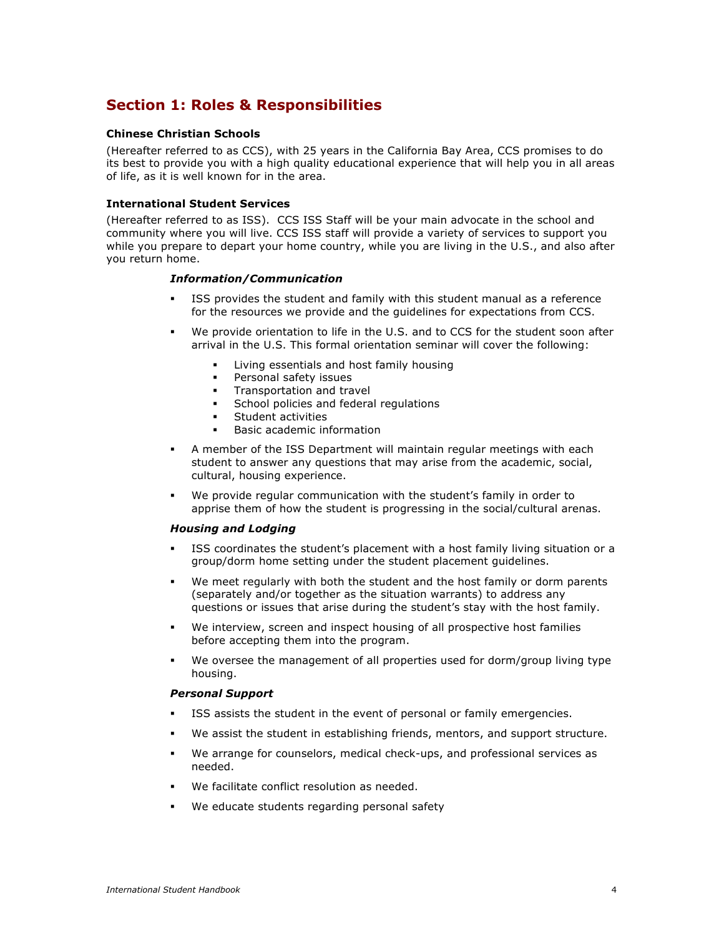## **Section 1: Roles & Responsibilities**

### **Chinese Christian Schools**

(Hereafter referred to as CCS), with 25 years in the California Bay Area, CCS promises to do its best to provide you with a high quality educational experience that will help you in all areas of life, as it is well known for in the area.

#### **International Student Services**

(Hereafter referred to as ISS). CCS ISS Staff will be your main advocate in the school and community where you will live. CCS ISS staff will provide a variety of services to support you while you prepare to depart your home country, while you are living in the U.S., and also after you return home.

#### *Information/Communication*

- ISS provides the student and family with this student manual as a reference for the resources we provide and the guidelines for expectations from CCS.
- We provide orientation to life in the U.S. and to CCS for the student soon after arrival in the U.S. This formal orientation seminar will cover the following:
	- Living essentials and host family housing
	- Personal safety issues
	- Transportation and travel
	- School policies and federal regulations
	- Student activities
	- Basic academic information
- A member of the ISS Department will maintain regular meetings with each student to answer any questions that may arise from the academic, social, cultural, housing experience.
- We provide regular communication with the student's family in order to apprise them of how the student is progressing in the social/cultural arenas.

### *Housing and Lodging*

- ISS coordinates the student's placement with a host family living situation or a group/dorm home setting under the student placement guidelines.
- We meet regularly with both the student and the host family or dorm parents (separately and/or together as the situation warrants) to address any questions or issues that arise during the student's stay with the host family.
- We interview, screen and inspect housing of all prospective host families before accepting them into the program.
- We oversee the management of all properties used for dorm/group living type housing.

#### *Personal Support*

- ISS assists the student in the event of personal or family emergencies.
- We assist the student in establishing friends, mentors, and support structure.
- We arrange for counselors, medical check-ups, and professional services as needed.
- We facilitate conflict resolution as needed.
- We educate students regarding personal safety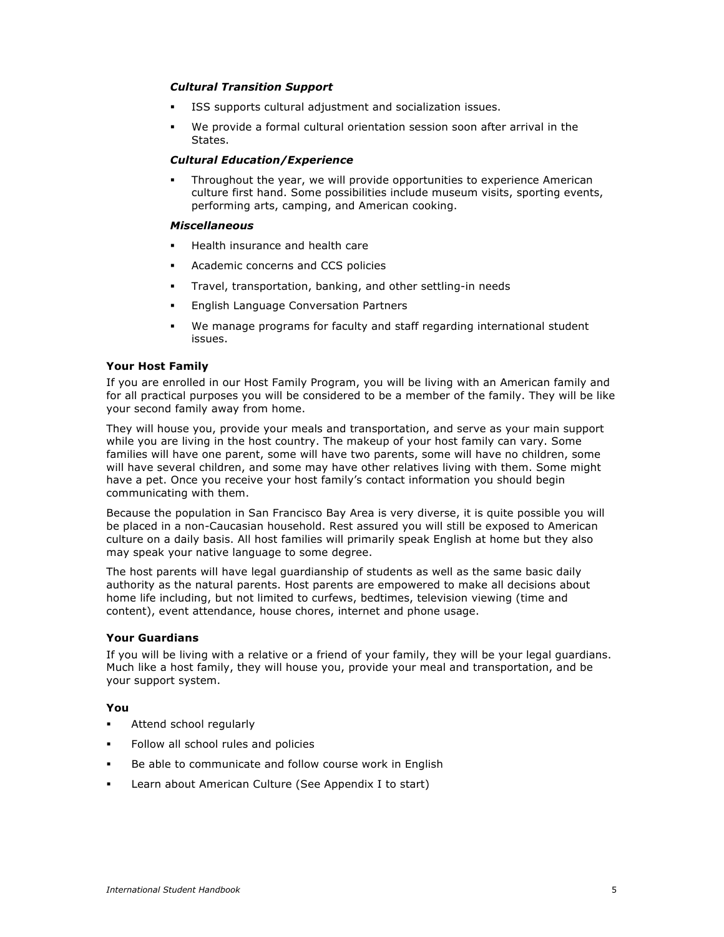### *Cultural Transition Support*

- ISS supports cultural adjustment and socialization issues.
- We provide a formal cultural orientation session soon after arrival in the States.

## *Cultural Education/Experience*

 Throughout the year, we will provide opportunities to experience American culture first hand. Some possibilities include museum visits, sporting events, performing arts, camping, and American cooking.

#### *Miscellaneous*

- Health insurance and health care
- Academic concerns and CCS policies
- Travel, transportation, banking, and other settling-in needs
- English Language Conversation Partners
- We manage programs for faculty and staff regarding international student issues.

#### **Your Host Family**

If you are enrolled in our Host Family Program, you will be living with an American family and for all practical purposes you will be considered to be a member of the family. They will be like your second family away from home.

They will house you, provide your meals and transportation, and serve as your main support while you are living in the host country. The makeup of your host family can vary. Some families will have one parent, some will have two parents, some will have no children, some will have several children, and some may have other relatives living with them. Some might have a pet. Once you receive your host family's contact information you should begin communicating with them.

Because the population in San Francisco Bay Area is very diverse, it is quite possible you will be placed in a non-Caucasian household. Rest assured you will still be exposed to American culture on a daily basis. All host families will primarily speak English at home but they also may speak your native language to some degree.

The host parents will have legal guardianship of students as well as the same basic daily authority as the natural parents. Host parents are empowered to make all decisions about home life including, but not limited to curfews, bedtimes, television viewing (time and content), event attendance, house chores, internet and phone usage.

#### **Your Guardians**

If you will be living with a relative or a friend of your family, they will be your legal guardians. Much like a host family, they will house you, provide your meal and transportation, and be your support system.

## **You**

- **Attend school regularly**
- **Follow all school rules and policies**
- Be able to communicate and follow course work in English
- Learn about American Culture (See Appendix I to start)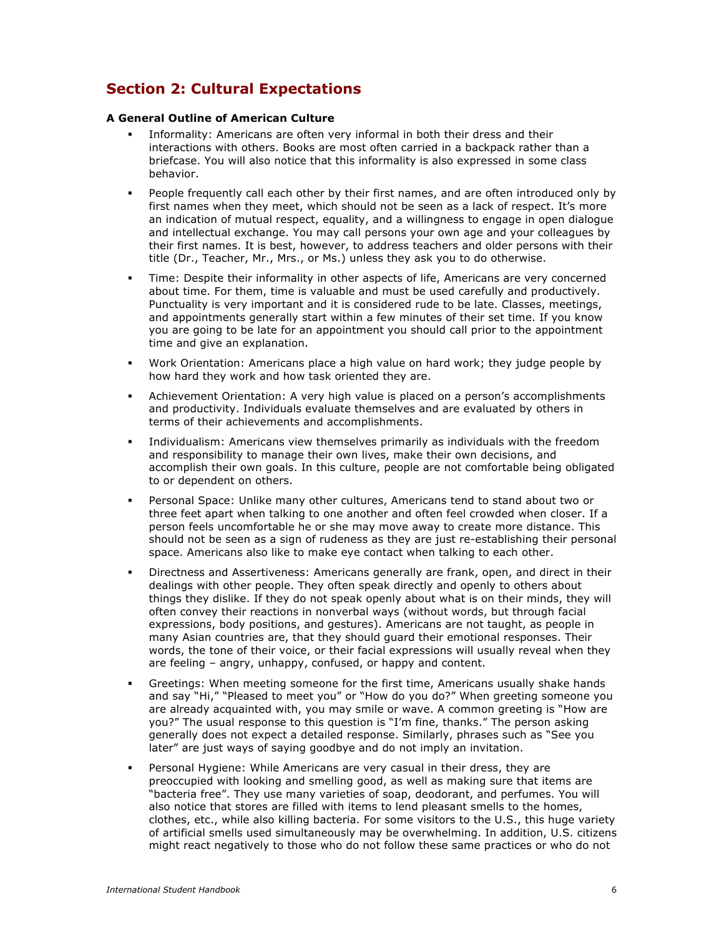## **Section 2: Cultural Expectations**

#### **A General Outline of American Culture**

- Informality: Americans are often very informal in both their dress and their interactions with others. Books are most often carried in a backpack rather than a briefcase. You will also notice that this informality is also expressed in some class behavior.
- People frequently call each other by their first names, and are often introduced only by first names when they meet, which should not be seen as a lack of respect. It's more an indication of mutual respect, equality, and a willingness to engage in open dialogue and intellectual exchange. You may call persons your own age and your colleagues by their first names. It is best, however, to address teachers and older persons with their title (Dr., Teacher, Mr., Mrs., or Ms.) unless they ask you to do otherwise.
- Time: Despite their informality in other aspects of life, Americans are very concerned about time. For them, time is valuable and must be used carefully and productively. Punctuality is very important and it is considered rude to be late. Classes, meetings, and appointments generally start within a few minutes of their set time. If you know you are going to be late for an appointment you should call prior to the appointment time and give an explanation.
- Work Orientation: Americans place a high value on hard work; they judge people by how hard they work and how task oriented they are.
- Achievement Orientation: A very high value is placed on a person's accomplishments and productivity. Individuals evaluate themselves and are evaluated by others in terms of their achievements and accomplishments.
- Individualism: Americans view themselves primarily as individuals with the freedom and responsibility to manage their own lives, make their own decisions, and accomplish their own goals. In this culture, people are not comfortable being obligated to or dependent on others.
- Personal Space: Unlike many other cultures, Americans tend to stand about two or three feet apart when talking to one another and often feel crowded when closer. If a person feels uncomfortable he or she may move away to create more distance. This should not be seen as a sign of rudeness as they are just re-establishing their personal space. Americans also like to make eye contact when talking to each other.
- Directness and Assertiveness: Americans generally are frank, open, and direct in their dealings with other people. They often speak directly and openly to others about things they dislike. If they do not speak openly about what is on their minds, they will often convey their reactions in nonverbal ways (without words, but through facial expressions, body positions, and gestures). Americans are not taught, as people in many Asian countries are, that they should guard their emotional responses. Their words, the tone of their voice, or their facial expressions will usually reveal when they are feeling – angry, unhappy, confused, or happy and content.
- Greetings: When meeting someone for the first time, Americans usually shake hands and say "Hi," "Pleased to meet you" or "How do you do?" When greeting someone you are already acquainted with, you may smile or wave. A common greeting is "How are you?" The usual response to this question is "I'm fine, thanks." The person asking generally does not expect a detailed response. Similarly, phrases such as "See you later" are just ways of saying goodbye and do not imply an invitation.
- Personal Hygiene: While Americans are very casual in their dress, they are preoccupied with looking and smelling good, as well as making sure that items are "bacteria free". They use many varieties of soap, deodorant, and perfumes. You will also notice that stores are filled with items to lend pleasant smells to the homes, clothes, etc., while also killing bacteria. For some visitors to the U.S., this huge variety of artificial smells used simultaneously may be overwhelming. In addition, U.S. citizens might react negatively to those who do not follow these same practices or who do not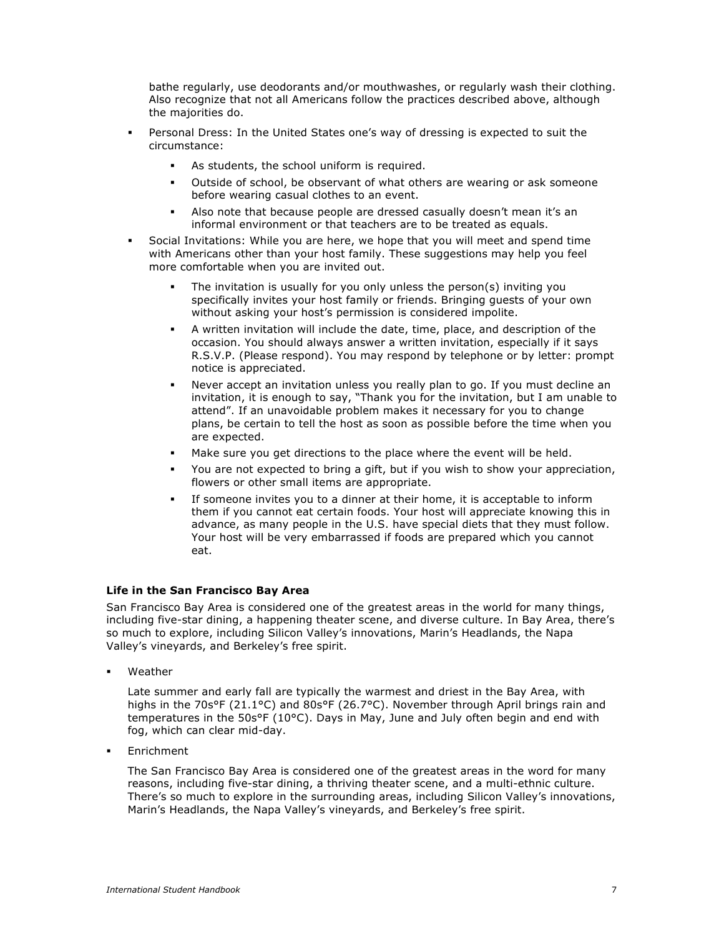bathe regularly, use deodorants and/or mouthwashes, or regularly wash their clothing. Also recognize that not all Americans follow the practices described above, although the majorities do.

- Personal Dress: In the United States one's way of dressing is expected to suit the circumstance:
	- As students, the school uniform is required.
	- Outside of school, be observant of what others are wearing or ask someone before wearing casual clothes to an event.
	- Also note that because people are dressed casually doesn't mean it's an informal environment or that teachers are to be treated as equals.
- Social Invitations: While you are here, we hope that you will meet and spend time with Americans other than your host family. These suggestions may help you feel more comfortable when you are invited out.
	- The invitation is usually for you only unless the person(s) inviting you specifically invites your host family or friends. Bringing guests of your own without asking your host's permission is considered impolite.
	- A written invitation will include the date, time, place, and description of the occasion. You should always answer a written invitation, especially if it says R.S.V.P. (Please respond). You may respond by telephone or by letter: prompt notice is appreciated.
	- Never accept an invitation unless you really plan to go. If you must decline an invitation, it is enough to say, "Thank you for the invitation, but I am unable to attend". If an unavoidable problem makes it necessary for you to change plans, be certain to tell the host as soon as possible before the time when you are expected.
	- Make sure you get directions to the place where the event will be held.
	- You are not expected to bring a gift, but if you wish to show your appreciation, flowers or other small items are appropriate.
	- If someone invites you to a dinner at their home, it is acceptable to inform them if you cannot eat certain foods. Your host will appreciate knowing this in advance, as many people in the U.S. have special diets that they must follow. Your host will be very embarrassed if foods are prepared which you cannot eat.

## **Life in the San Francisco Bay Area**

San Francisco Bay Area is considered one of the greatest areas in the world for many things, including five-star dining, a happening theater scene, and diverse culture. In Bay Area, there's so much to explore, including Silicon Valley's innovations, Marin's Headlands, the Napa Valley's vineyards, and Berkeley's free spirit.

Weather

Late summer and early fall are typically the warmest and driest in the Bay Area, with highs in the 70s°F (21.1°C) and 80s°F (26.7°C). November through April brings rain and temperatures in the 50s°F (10°C). Days in May, June and July often begin and end with fog, which can clear mid-day.

Enrichment

The San Francisco Bay Area is considered one of the greatest areas in the word for many reasons, including five-star dining, a thriving theater scene, and a multi-ethnic culture. There's so much to explore in the surrounding areas, including Silicon Valley's innovations, Marin's Headlands, the Napa Valley's vineyards, and Berkeley's free spirit.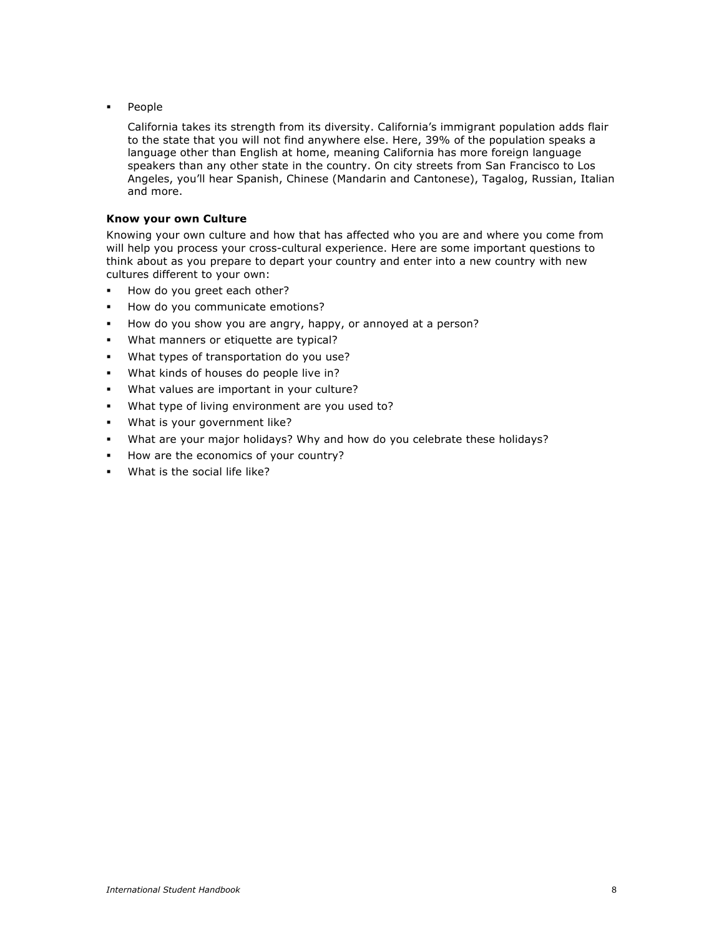**People** 

California takes its strength from its diversity. California's immigrant population adds flair to the state that you will not find anywhere else. Here, 39% of the population speaks a language other than English at home, meaning California has more foreign language speakers than any other state in the country. On city streets from San Francisco to Los Angeles, you'll hear Spanish, Chinese (Mandarin and Cantonese), Tagalog, Russian, Italian and more.

#### **Know your own Culture**

Knowing your own culture and how that has affected who you are and where you come from will help you process your cross-cultural experience. Here are some important questions to think about as you prepare to depart your country and enter into a new country with new cultures different to your own:

- How do you greet each other?
- How do you communicate emotions?
- How do you show you are angry, happy, or annoyed at a person?
- What manners or etiquette are typical?
- What types of transportation do you use?
- What kinds of houses do people live in?
- **What values are important in your culture?**
- What type of living environment are you used to?
- What is your government like?
- What are your major holidays? Why and how do you celebrate these holidays?
- How are the economics of your country?
- What is the social life like?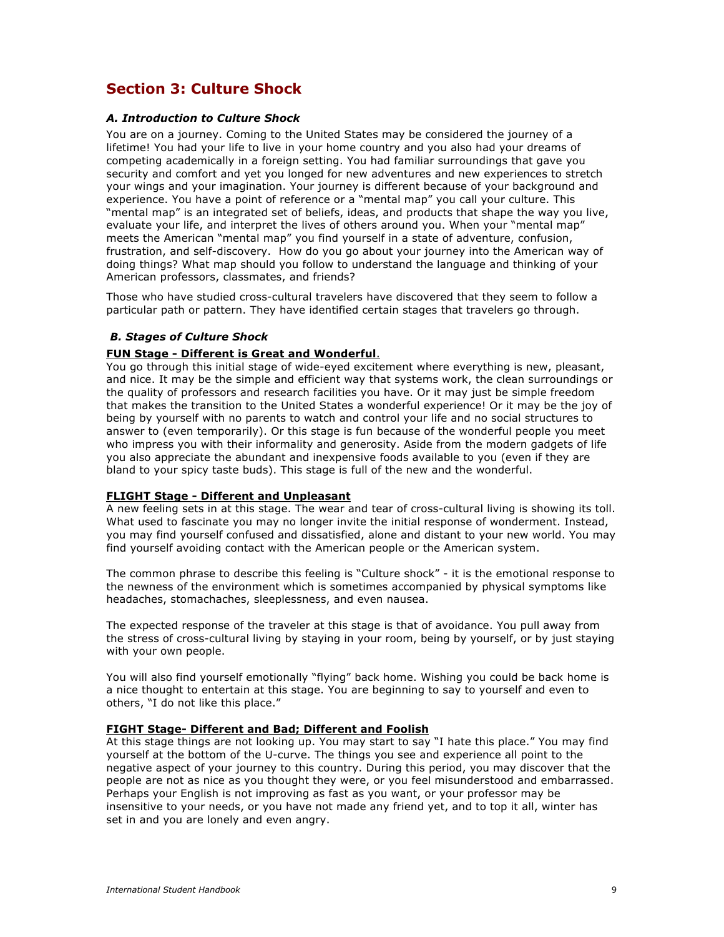## **Section 3: Culture Shock**

#### *A. Introduction to Culture Shock*

You are on a journey. Coming to the United States may be considered the journey of a lifetime! You had your life to live in your home country and you also had your dreams of competing academically in a foreign setting. You had familiar surroundings that gave you security and comfort and yet you longed for new adventures and new experiences to stretch your wings and your imagination. Your journey is different because of your background and experience. You have a point of reference or a "mental map" you call your culture. This "mental map" is an integrated set of beliefs, ideas, and products that shape the way you live, evaluate your life, and interpret the lives of others around you. When your "mental map" meets the American "mental map" you find yourself in a state of adventure, confusion, frustration, and self-discovery. How do you go about your journey into the American way of doing things? What map should you follow to understand the language and thinking of your American professors, classmates, and friends?

Those who have studied cross-cultural travelers have discovered that they seem to follow a particular path or pattern. They have identified certain stages that travelers go through.

### *B. Stages of Culture Shock*

#### **FUN Stage - Different is Great and Wonderful**.

You go through this initial stage of wide-eyed excitement where everything is new, pleasant, and nice. It may be the simple and efficient way that systems work, the clean surroundings or the quality of professors and research facilities you have. Or it may just be simple freedom that makes the transition to the United States a wonderful experience! Or it may be the joy of being by yourself with no parents to watch and control your life and no social structures to answer to (even temporarily). Or this stage is fun because of the wonderful people you meet who impress you with their informality and generosity. Aside from the modern gadgets of life you also appreciate the abundant and inexpensive foods available to you (even if they are bland to your spicy taste buds). This stage is full of the new and the wonderful.

#### **FLIGHT Stage - Different and Unpleasant**

A new feeling sets in at this stage. The wear and tear of cross-cultural living is showing its toll. What used to fascinate you may no longer invite the initial response of wonderment. Instead, you may find yourself confused and dissatisfied, alone and distant to your new world. You may find yourself avoiding contact with the American people or the American system.

The common phrase to describe this feeling is "Culture shock" - it is the emotional response to the newness of the environment which is sometimes accompanied by physical symptoms like headaches, stomachaches, sleeplessness, and even nausea.

The expected response of the traveler at this stage is that of avoidance. You pull away from the stress of cross-cultural living by staying in your room, being by yourself, or by just staying with your own people.

You will also find yourself emotionally "flying" back home. Wishing you could be back home is a nice thought to entertain at this stage. You are beginning to say to yourself and even to others, "I do not like this place."

## **FIGHT Stage- Different and Bad; Different and Foolish**

At this stage things are not looking up. You may start to say "I hate this place." You may find yourself at the bottom of the U-curve. The things you see and experience all point to the negative aspect of your journey to this country. During this period, you may discover that the people are not as nice as you thought they were, or you feel misunderstood and embarrassed. Perhaps your English is not improving as fast as you want, or your professor may be insensitive to your needs, or you have not made any friend yet, and to top it all, winter has set in and you are lonely and even angry.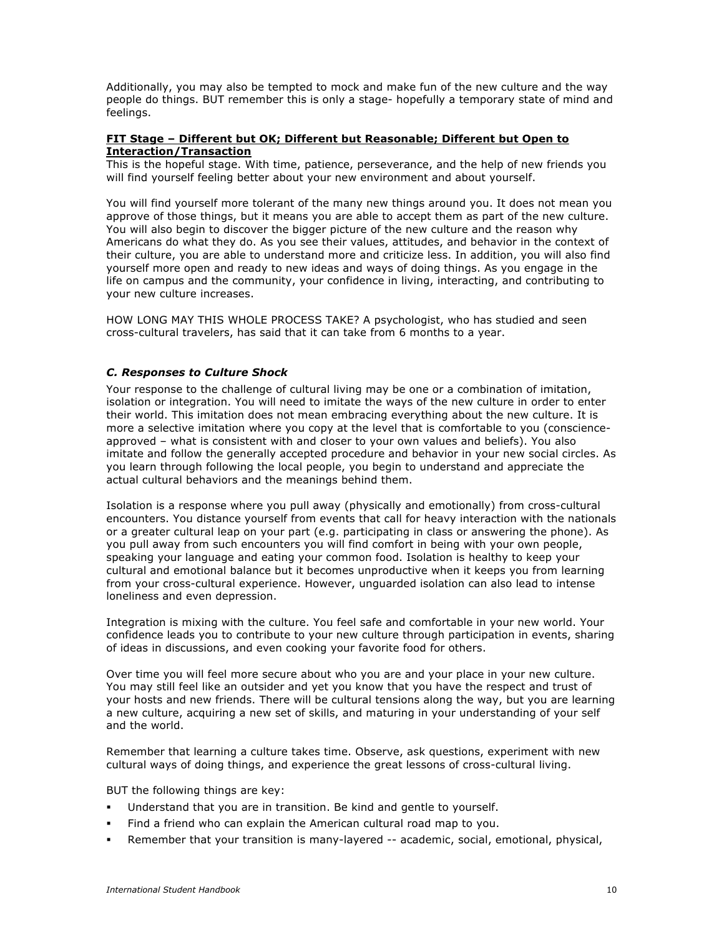Additionally, you may also be tempted to mock and make fun of the new culture and the way people do things. BUT remember this is only a stage- hopefully a temporary state of mind and feelings.

#### **FIT Stage – Different but OK; Different but Reasonable; Different but Open to Interaction/Transaction**

This is the hopeful stage. With time, patience, perseverance, and the help of new friends you will find yourself feeling better about your new environment and about yourself.

You will find yourself more tolerant of the many new things around you. It does not mean you approve of those things, but it means you are able to accept them as part of the new culture. You will also begin to discover the bigger picture of the new culture and the reason why Americans do what they do. As you see their values, attitudes, and behavior in the context of their culture, you are able to understand more and criticize less. In addition, you will also find yourself more open and ready to new ideas and ways of doing things. As you engage in the life on campus and the community, your confidence in living, interacting, and contributing to your new culture increases.

HOW LONG MAY THIS WHOLE PROCESS TAKE? A psychologist, who has studied and seen cross-cultural travelers, has said that it can take from 6 months to a year.

## *C. Responses to Culture Shock*

Your response to the challenge of cultural living may be one or a combination of imitation, isolation or integration. You will need to imitate the ways of the new culture in order to enter their world. This imitation does not mean embracing everything about the new culture. It is more a selective imitation where you copy at the level that is comfortable to you (conscienceapproved – what is consistent with and closer to your own values and beliefs). You also imitate and follow the generally accepted procedure and behavior in your new social circles. As you learn through following the local people, you begin to understand and appreciate the actual cultural behaviors and the meanings behind them.

Isolation is a response where you pull away (physically and emotionally) from cross-cultural encounters. You distance yourself from events that call for heavy interaction with the nationals or a greater cultural leap on your part (e.g. participating in class or answering the phone). As you pull away from such encounters you will find comfort in being with your own people, speaking your language and eating your common food. Isolation is healthy to keep your cultural and emotional balance but it becomes unproductive when it keeps you from learning from your cross-cultural experience. However, unguarded isolation can also lead to intense loneliness and even depression.

Integration is mixing with the culture. You feel safe and comfortable in your new world. Your confidence leads you to contribute to your new culture through participation in events, sharing of ideas in discussions, and even cooking your favorite food for others.

Over time you will feel more secure about who you are and your place in your new culture. You may still feel like an outsider and yet you know that you have the respect and trust of your hosts and new friends. There will be cultural tensions along the way, but you are learning a new culture, acquiring a new set of skills, and maturing in your understanding of your self and the world.

Remember that learning a culture takes time. Observe, ask questions, experiment with new cultural ways of doing things, and experience the great lessons of cross-cultural living.

BUT the following things are key:

- Understand that you are in transition. Be kind and gentle to yourself.
- Find a friend who can explain the American cultural road map to you.
- Remember that your transition is many-layered -- academic, social, emotional, physical,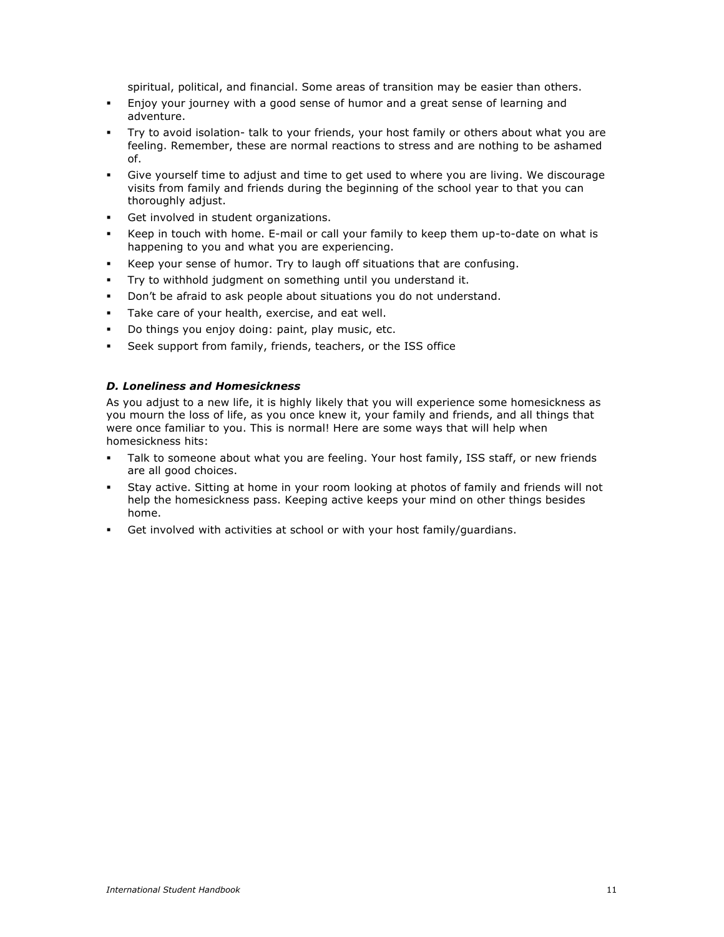spiritual, political, and financial. Some areas of transition may be easier than others.

- Enjoy your journey with a good sense of humor and a great sense of learning and adventure.
- Try to avoid isolation- talk to your friends, your host family or others about what you are feeling. Remember, these are normal reactions to stress and are nothing to be ashamed of.
- Give yourself time to adjust and time to get used to where you are living. We discourage visits from family and friends during the beginning of the school year to that you can thoroughly adjust.
- Get involved in student organizations.
- Keep in touch with home. E-mail or call your family to keep them up-to-date on what is happening to you and what you are experiencing.
- Keep your sense of humor. Try to laugh off situations that are confusing.
- Try to withhold judgment on something until you understand it.
- Don't be afraid to ask people about situations you do not understand.
- Take care of your health, exercise, and eat well.
- Do things you enjoy doing: paint, play music, etc.
- Seek support from family, friends, teachers, or the ISS office

#### *D. Loneliness and Homesickness*

As you adjust to a new life, it is highly likely that you will experience some homesickness as you mourn the loss of life, as you once knew it, your family and friends, and all things that were once familiar to you. This is normal! Here are some ways that will help when homesickness hits:

- Talk to someone about what you are feeling. Your host family, ISS staff, or new friends are all good choices.
- Stay active. Sitting at home in your room looking at photos of family and friends will not help the homesickness pass. Keeping active keeps your mind on other things besides home.
- Get involved with activities at school or with your host family/guardians.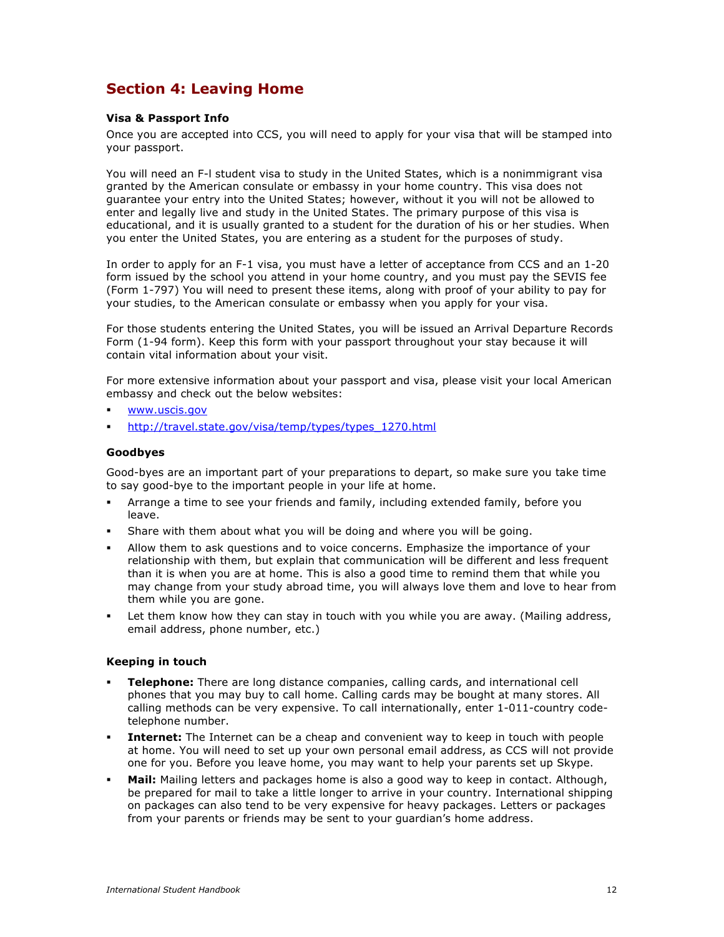## **Section 4: Leaving Home**

#### **Visa & Passport Info**

Once you are accepted into CCS, you will need to apply for your visa that will be stamped into your passport.

You will need an F-l student visa to study in the United States, which is a nonimmigrant visa granted by the American consulate or embassy in your home country. This visa does not guarantee your entry into the United States; however, without it you will not be allowed to enter and legally live and study in the United States. The primary purpose of this visa is educational, and it is usually granted to a student for the duration of his or her studies. When you enter the United States, you are entering as a student for the purposes of study.

In order to apply for an F-1 visa, you must have a letter of acceptance from CCS and an 1-20 form issued by the school you attend in your home country, and you must pay the SEVIS fee (Form 1-797) You will need to present these items, along with proof of your ability to pay for your studies, to the American consulate or embassy when you apply for your visa.

For those students entering the United States, you will be issued an Arrival Departure Records Form (1-94 form). Keep this form with your passport throughout your stay because it will contain vital information about your visit.

For more extensive information about your passport and visa, please visit your local American embassy and check out the below websites:

- www.uscis.gov
- http://travel.state.gov/visa/temp/types/types\_1270.html

#### **Goodbyes**

Good-byes are an important part of your preparations to depart, so make sure you take time to say good-bye to the important people in your life at home.

- Arrange a time to see your friends and family, including extended family, before you leave.
- Share with them about what you will be doing and where you will be going.
- Allow them to ask questions and to voice concerns. Emphasize the importance of your relationship with them, but explain that communication will be different and less frequent than it is when you are at home. This is also a good time to remind them that while you may change from your study abroad time, you will always love them and love to hear from them while you are gone.
- Let them know how they can stay in touch with you while you are away. (Mailing address, email address, phone number, etc.)

#### **Keeping in touch**

- **Telephone:** There are long distance companies, calling cards, and international cell phones that you may buy to call home. Calling cards may be bought at many stores. All calling methods can be very expensive. To call internationally, enter 1-011-country codetelephone number.
- **Internet:** The Internet can be a cheap and convenient way to keep in touch with people at home. You will need to set up your own personal email address, as CCS will not provide one for you. Before you leave home, you may want to help your parents set up Skype.
- **Mail:** Mailing letters and packages home is also a good way to keep in contact. Although, be prepared for mail to take a little longer to arrive in your country. International shipping on packages can also tend to be very expensive for heavy packages. Letters or packages from your parents or friends may be sent to your guardian's home address.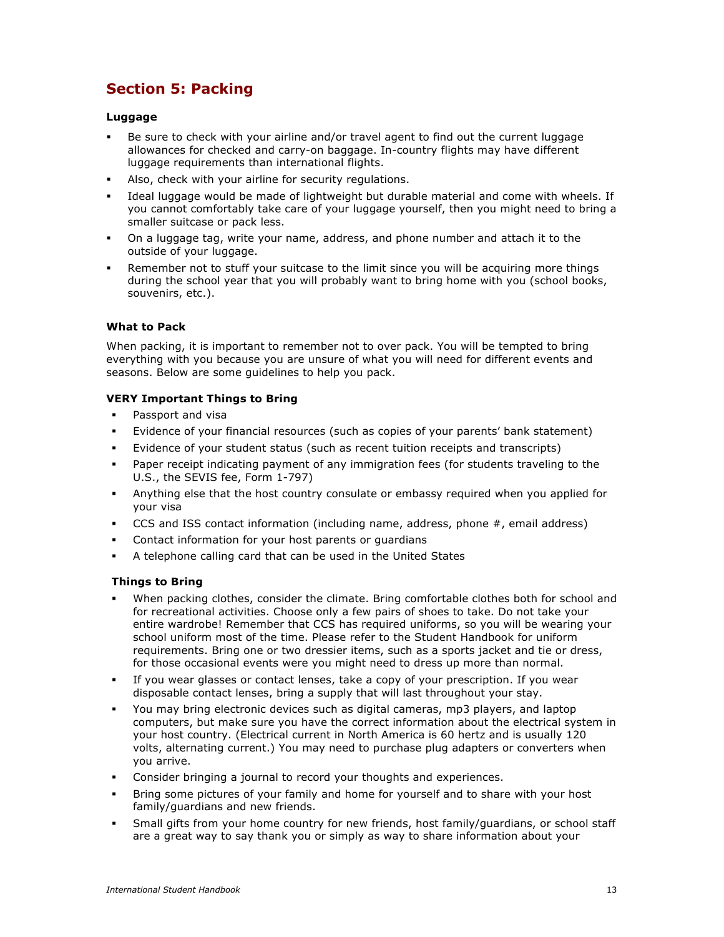## **Section 5: Packing**

## **Luggage**

- Be sure to check with your airline and/or travel agent to find out the current luggage allowances for checked and carry-on baggage. In-country flights may have different luggage requirements than international flights.
- Also, check with your airline for security regulations.
- Ideal luggage would be made of lightweight but durable material and come with wheels. If you cannot comfortably take care of your luggage yourself, then you might need to bring a smaller suitcase or pack less.
- On a luggage tag, write your name, address, and phone number and attach it to the outside of your luggage.
- Remember not to stuff your suitcase to the limit since you will be acquiring more things during the school year that you will probably want to bring home with you (school books, souvenirs, etc.).

## **What to Pack**

When packing, it is important to remember not to over pack. You will be tempted to bring everything with you because you are unsure of what you will need for different events and seasons. Below are some guidelines to help you pack.

## **VERY Important Things to Bring**

- Passport and visa
- Evidence of your financial resources (such as copies of your parents' bank statement)
- Evidence of your student status (such as recent tuition receipts and transcripts)
- Paper receipt indicating payment of any immigration fees (for students traveling to the U.S., the SEVIS fee, Form 1-797)
- Anything else that the host country consulate or embassy required when you applied for your visa
- CCS and ISS contact information (including name, address, phone #, email address)
- Contact information for your host parents or guardians
- A telephone calling card that can be used in the United States

## **Things to Bring**

- When packing clothes, consider the climate. Bring comfortable clothes both for school and for recreational activities. Choose only a few pairs of shoes to take. Do not take your entire wardrobe! Remember that CCS has required uniforms, so you will be wearing your school uniform most of the time. Please refer to the Student Handbook for uniform requirements. Bring one or two dressier items, such as a sports jacket and tie or dress, for those occasional events were you might need to dress up more than normal.
- If you wear glasses or contact lenses, take a copy of your prescription. If you wear disposable contact lenses, bring a supply that will last throughout your stay.
- You may bring electronic devices such as digital cameras, mp3 players, and laptop computers, but make sure you have the correct information about the electrical system in your host country. (Electrical current in North America is 60 hertz and is usually 120 volts, alternating current.) You may need to purchase plug adapters or converters when you arrive.
- Consider bringing a journal to record your thoughts and experiences.
- Bring some pictures of your family and home for yourself and to share with your host family/guardians and new friends.
- Small gifts from your home country for new friends, host family/guardians, or school staff are a great way to say thank you or simply as way to share information about your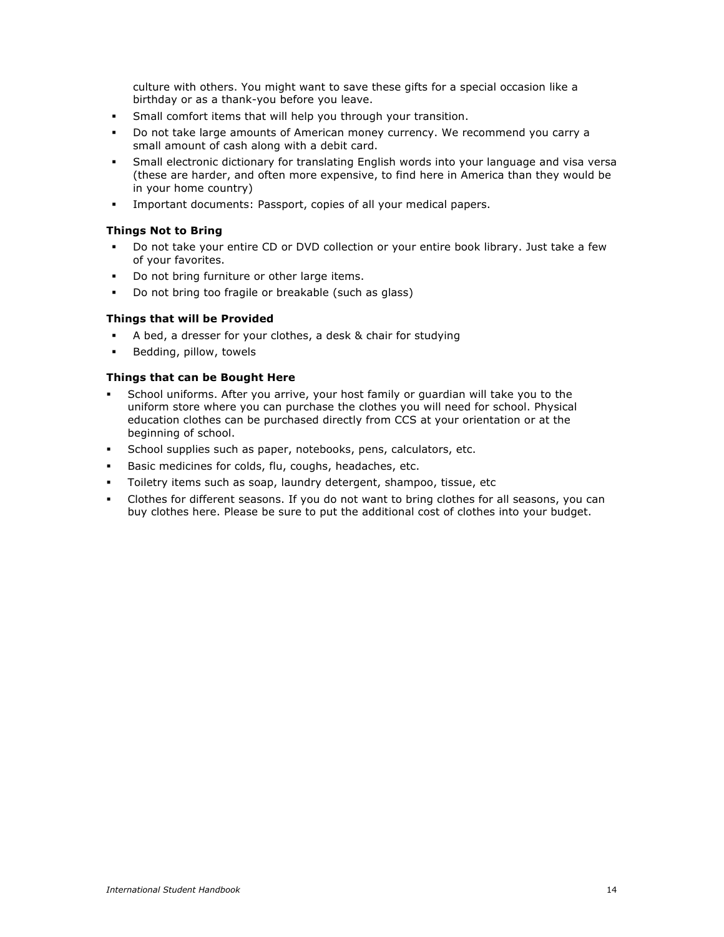culture with others. You might want to save these gifts for a special occasion like a birthday or as a thank-you before you leave.

- Small comfort items that will help you through your transition.
- Do not take large amounts of American money currency. We recommend you carry a small amount of cash along with a debit card.
- Small electronic dictionary for translating English words into your language and visa versa (these are harder, and often more expensive, to find here in America than they would be in your home country)
- Important documents: Passport, copies of all your medical papers.

### **Things Not to Bring**

- Do not take your entire CD or DVD collection or your entire book library. Just take a few of your favorites.
- Do not bring furniture or other large items.
- Do not bring too fragile or breakable (such as glass)

#### **Things that will be Provided**

- A bed, a dresser for your clothes, a desk & chair for studying
- Bedding, pillow, towels

#### **Things that can be Bought Here**

- School uniforms. After you arrive, your host family or guardian will take you to the uniform store where you can purchase the clothes you will need for school. Physical education clothes can be purchased directly from CCS at your orientation or at the beginning of school.
- School supplies such as paper, notebooks, pens, calculators, etc.
- Basic medicines for colds, flu, coughs, headaches, etc.
- Toiletry items such as soap, laundry detergent, shampoo, tissue, etc
- Clothes for different seasons. If you do not want to bring clothes for all seasons, you can buy clothes here. Please be sure to put the additional cost of clothes into your budget.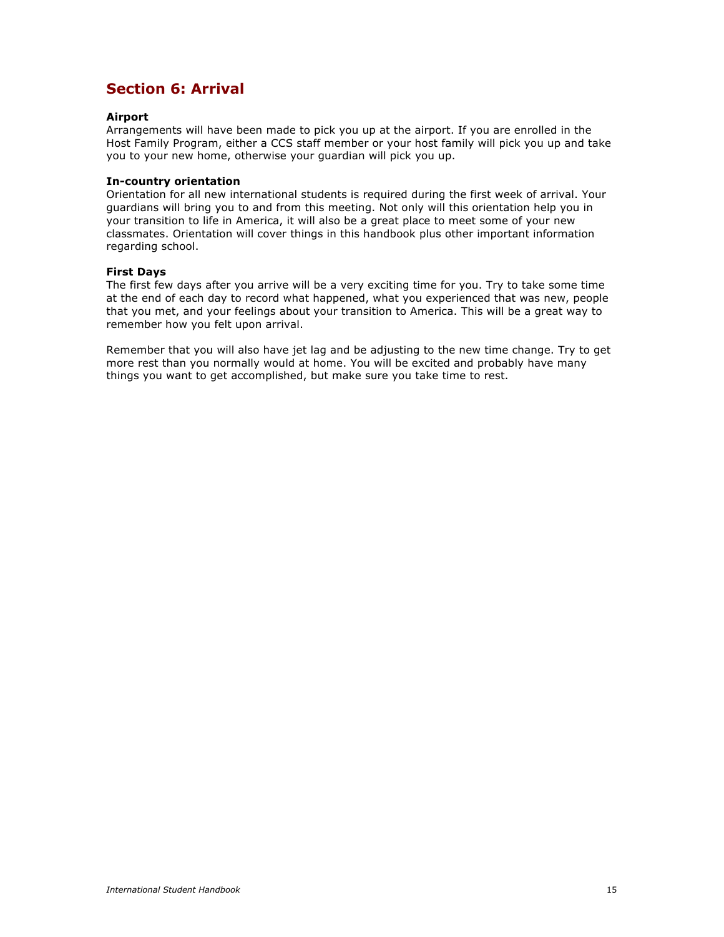## **Section 6: Arrival**

### **Airport**

Arrangements will have been made to pick you up at the airport. If you are enrolled in the Host Family Program, either a CCS staff member or your host family will pick you up and take you to your new home, otherwise your guardian will pick you up.

#### **In-country orientation**

Orientation for all new international students is required during the first week of arrival. Your guardians will bring you to and from this meeting. Not only will this orientation help you in your transition to life in America, it will also be a great place to meet some of your new classmates. Orientation will cover things in this handbook plus other important information regarding school.

#### **First Days**

The first few days after you arrive will be a very exciting time for you. Try to take some time at the end of each day to record what happened, what you experienced that was new, people that you met, and your feelings about your transition to America. This will be a great way to remember how you felt upon arrival.

Remember that you will also have jet lag and be adjusting to the new time change. Try to get more rest than you normally would at home. You will be excited and probably have many things you want to get accomplished, but make sure you take time to rest.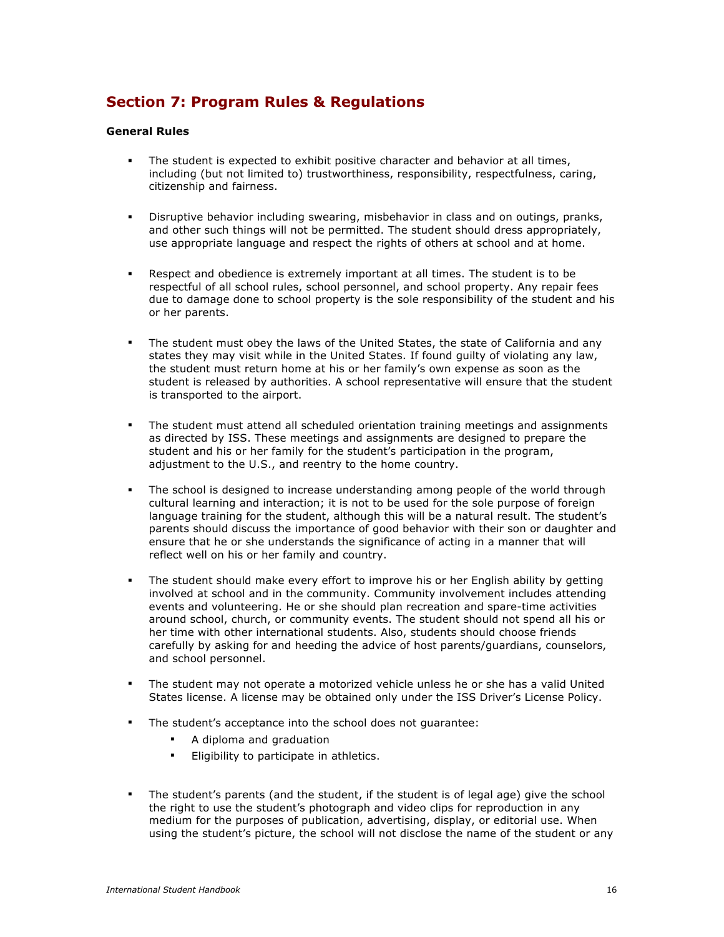## **Section 7: Program Rules & Regulations**

#### **General Rules**

- The student is expected to exhibit positive character and behavior at all times, including (but not limited to) trustworthiness, responsibility, respectfulness, caring, citizenship and fairness.
- Disruptive behavior including swearing, misbehavior in class and on outings, pranks, and other such things will not be permitted. The student should dress appropriately, use appropriate language and respect the rights of others at school and at home.
- Respect and obedience is extremely important at all times. The student is to be respectful of all school rules, school personnel, and school property. Any repair fees due to damage done to school property is the sole responsibility of the student and his or her parents.
- The student must obey the laws of the United States, the state of California and any states they may visit while in the United States. If found guilty of violating any law, the student must return home at his or her family's own expense as soon as the student is released by authorities. A school representative will ensure that the student is transported to the airport.
- The student must attend all scheduled orientation training meetings and assignments as directed by ISS. These meetings and assignments are designed to prepare the student and his or her family for the student's participation in the program, adjustment to the U.S., and reentry to the home country.
- The school is designed to increase understanding among people of the world through cultural learning and interaction; it is not to be used for the sole purpose of foreign language training for the student, although this will be a natural result. The student's parents should discuss the importance of good behavior with their son or daughter and ensure that he or she understands the significance of acting in a manner that will reflect well on his or her family and country.
- The student should make every effort to improve his or her English ability by getting involved at school and in the community. Community involvement includes attending events and volunteering. He or she should plan recreation and spare-time activities around school, church, or community events. The student should not spend all his or her time with other international students. Also, students should choose friends carefully by asking for and heeding the advice of host parents/guardians, counselors, and school personnel.
- The student may not operate a motorized vehicle unless he or she has a valid United States license. A license may be obtained only under the ISS Driver's License Policy.
- The student's acceptance into the school does not guarantee:
	- A diploma and graduation
	- Eligibility to participate in athletics.
- The student's parents (and the student, if the student is of legal age) give the school the right to use the student's photograph and video clips for reproduction in any medium for the purposes of publication, advertising, display, or editorial use. When using the student's picture, the school will not disclose the name of the student or any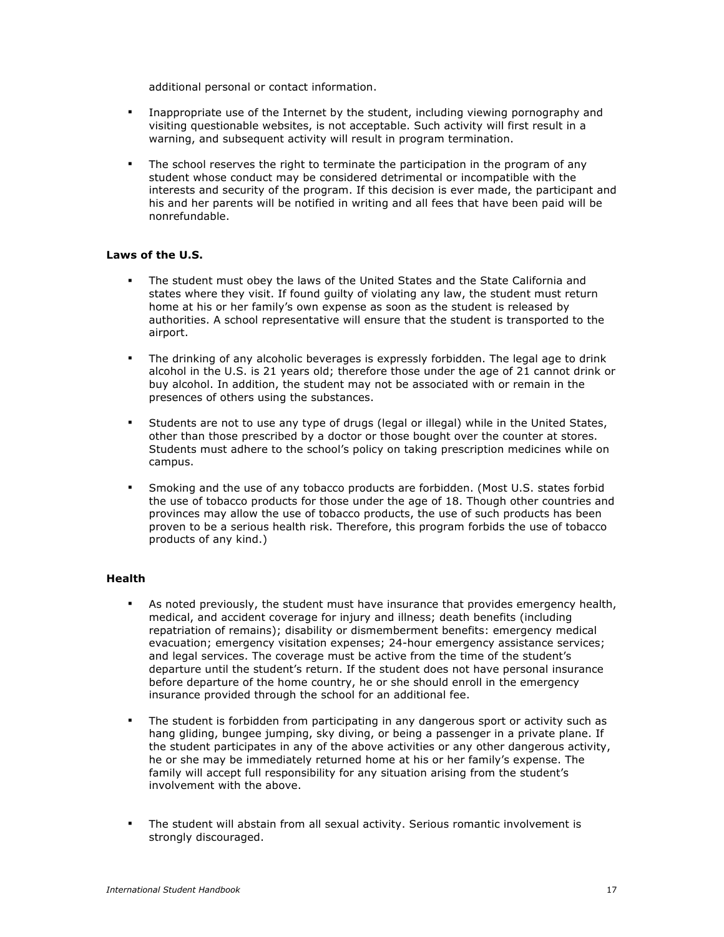additional personal or contact information.

- Inappropriate use of the Internet by the student, including viewing pornography and visiting questionable websites, is not acceptable. Such activity will first result in a warning, and subsequent activity will result in program termination.
- The school reserves the right to terminate the participation in the program of any student whose conduct may be considered detrimental or incompatible with the interests and security of the program. If this decision is ever made, the participant and his and her parents will be notified in writing and all fees that have been paid will be nonrefundable.

## **Laws of the U.S.**

- The student must obey the laws of the United States and the State California and states where they visit. If found guilty of violating any law, the student must return home at his or her family's own expense as soon as the student is released by authorities. A school representative will ensure that the student is transported to the airport.
- The drinking of any alcoholic beverages is expressly forbidden. The legal age to drink alcohol in the U.S. is 21 years old; therefore those under the age of 21 cannot drink or buy alcohol. In addition, the student may not be associated with or remain in the presences of others using the substances.
- Students are not to use any type of drugs (legal or illegal) while in the United States, other than those prescribed by a doctor or those bought over the counter at stores. Students must adhere to the school's policy on taking prescription medicines while on campus.
- Smoking and the use of any tobacco products are forbidden. (Most U.S. states forbid the use of tobacco products for those under the age of 18. Though other countries and provinces may allow the use of tobacco products, the use of such products has been proven to be a serious health risk. Therefore, this program forbids the use of tobacco products of any kind.)

#### **Health**

- As noted previously, the student must have insurance that provides emergency health, medical, and accident coverage for injury and illness; death benefits (including repatriation of remains); disability or dismemberment benefits: emergency medical evacuation; emergency visitation expenses; 24-hour emergency assistance services; and legal services. The coverage must be active from the time of the student's departure until the student's return. If the student does not have personal insurance before departure of the home country, he or she should enroll in the emergency insurance provided through the school for an additional fee.
- The student is forbidden from participating in any dangerous sport or activity such as hang gliding, bungee jumping, sky diving, or being a passenger in a private plane. If the student participates in any of the above activities or any other dangerous activity, he or she may be immediately returned home at his or her family's expense. The family will accept full responsibility for any situation arising from the student's involvement with the above.
- The student will abstain from all sexual activity. Serious romantic involvement is strongly discouraged.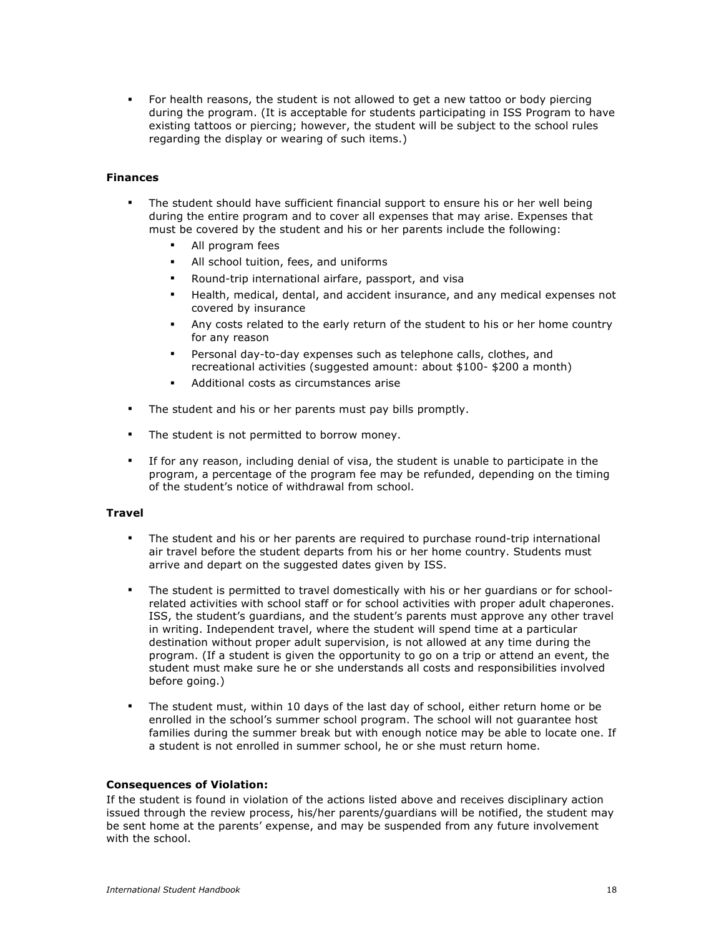For health reasons, the student is not allowed to get a new tattoo or body piercing during the program. (It is acceptable for students participating in ISS Program to have existing tattoos or piercing; however, the student will be subject to the school rules regarding the display or wearing of such items.)

#### **Finances**

- The student should have sufficient financial support to ensure his or her well being during the entire program and to cover all expenses that may arise. Expenses that must be covered by the student and his or her parents include the following:
	- All program fees
	- All school tuition, fees, and uniforms
	- Round-trip international airfare, passport, and visa
	- Health, medical, dental, and accident insurance, and any medical expenses not covered by insurance
	- Any costs related to the early return of the student to his or her home country for any reason
	- Personal day-to-day expenses such as telephone calls, clothes, and recreational activities (suggested amount: about \$100- \$200 a month)
	- Additional costs as circumstances arise
- The student and his or her parents must pay bills promptly.
- **The student is not permitted to borrow money.**
- If for any reason, including denial of visa, the student is unable to participate in the program, a percentage of the program fee may be refunded, depending on the timing of the student's notice of withdrawal from school.

#### **Travel**

- The student and his or her parents are required to purchase round-trip international air travel before the student departs from his or her home country. Students must arrive and depart on the suggested dates given by ISS.
- The student is permitted to travel domestically with his or her guardians or for schoolrelated activities with school staff or for school activities with proper adult chaperones. ISS, the student's guardians, and the student's parents must approve any other travel in writing. Independent travel, where the student will spend time at a particular destination without proper adult supervision, is not allowed at any time during the program. (If a student is given the opportunity to go on a trip or attend an event, the student must make sure he or she understands all costs and responsibilities involved before going.)
- The student must, within 10 days of the last day of school, either return home or be enrolled in the school's summer school program. The school will not guarantee host families during the summer break but with enough notice may be able to locate one. If a student is not enrolled in summer school, he or she must return home.

#### **Consequences of Violation:**

If the student is found in violation of the actions listed above and receives disciplinary action issued through the review process, his/her parents/guardians will be notified, the student may be sent home at the parents' expense, and may be suspended from any future involvement with the school.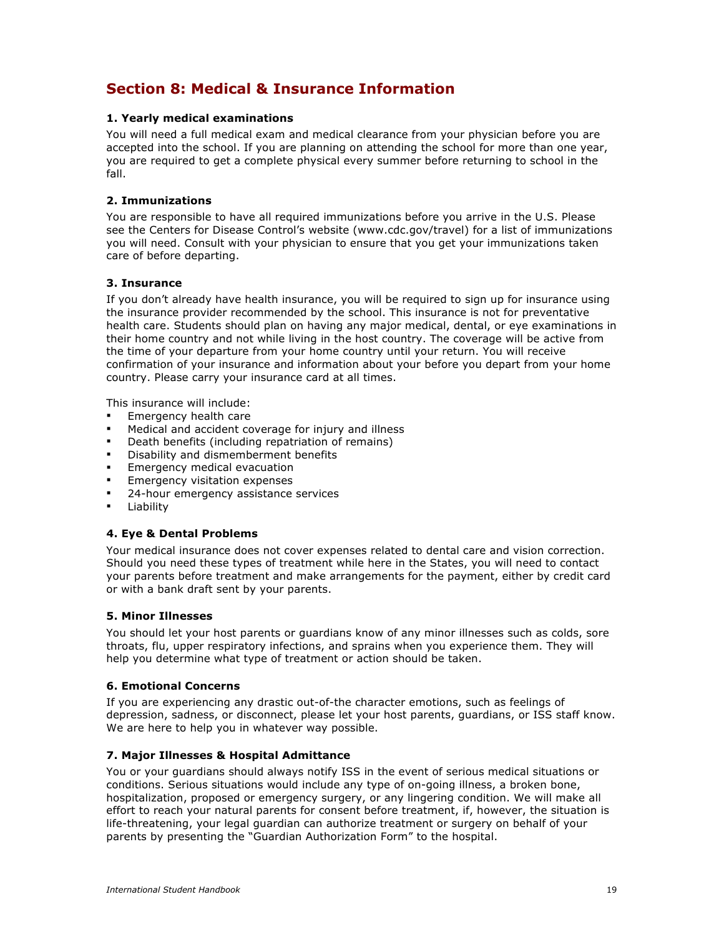## **Section 8: Medical & Insurance Information**

### **1. Yearly medical examinations**

You will need a full medical exam and medical clearance from your physician before you are accepted into the school. If you are planning on attending the school for more than one year, you are required to get a complete physical every summer before returning to school in the fall.

#### **2. Immunizations**

You are responsible to have all required immunizations before you arrive in the U.S. Please see the Centers for Disease Control's website (www.cdc.gov/travel) for a list of immunizations you will need. Consult with your physician to ensure that you get your immunizations taken care of before departing.

#### **3. Insurance**

If you don't already have health insurance, you will be required to sign up for insurance using the insurance provider recommended by the school. This insurance is not for preventative health care. Students should plan on having any major medical, dental, or eye examinations in their home country and not while living in the host country. The coverage will be active from the time of your departure from your home country until your return. You will receive confirmation of your insurance and information about your before you depart from your home country. Please carry your insurance card at all times.

This insurance will include:

- Emergency health care
- Medical and accident coverage for injury and illness
- Death benefits (including repatriation of remains)
- Disability and dismemberment benefits
- Emergency medical evacuation
- Emergency visitation expenses
- 24-hour emergency assistance services
- Liability

## **4. Eye & Dental Problems**

Your medical insurance does not cover expenses related to dental care and vision correction. Should you need these types of treatment while here in the States, you will need to contact your parents before treatment and make arrangements for the payment, either by credit card or with a bank draft sent by your parents.

#### **5. Minor Illnesses**

You should let your host parents or guardians know of any minor illnesses such as colds, sore throats, flu, upper respiratory infections, and sprains when you experience them. They will help you determine what type of treatment or action should be taken.

#### **6. Emotional Concerns**

If you are experiencing any drastic out-of-the character emotions, such as feelings of depression, sadness, or disconnect, please let your host parents, guardians, or ISS staff know. We are here to help you in whatever way possible.

#### **7. Major Illnesses & Hospital Admittance**

You or your guardians should always notify ISS in the event of serious medical situations or conditions. Serious situations would include any type of on-going illness, a broken bone, hospitalization, proposed or emergency surgery, or any lingering condition. We will make all effort to reach your natural parents for consent before treatment, if, however, the situation is life-threatening, your legal guardian can authorize treatment or surgery on behalf of your parents by presenting the "Guardian Authorization Form" to the hospital.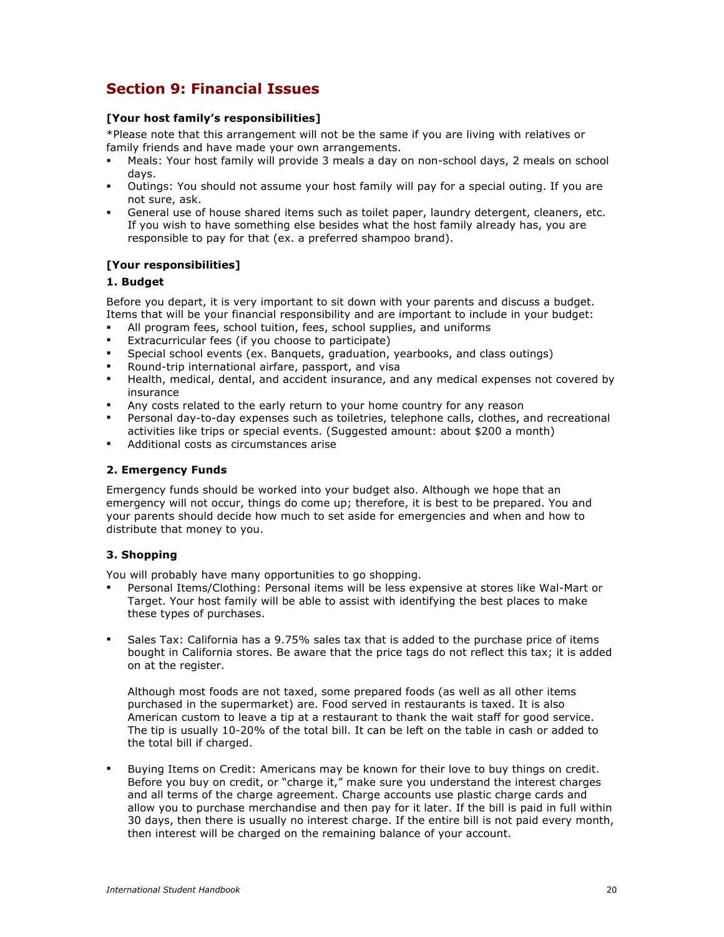## **Section 9: Financial Issues**

### **[Your host family's responsibilities]**

\*Please note that this arrangement will not be the same if you are living with relatives or family friends and have made your own arrangements.

- Meals: Your host family will provide 3 meals a day on non-school days, 2 meals on school days.
- Outings: You should not assume your host family will pay for a special outing. If you are not sure, ask.
- General use of house shared items such as toilet paper, laundry detergent, cleaners, etc. If you wish to have something else besides what the host family already has, you are responsible to pay for that (ex. a preferred shampoo brand).

## **[Your responsibilities]**

#### **1. Budget**

Before you depart, it is very important to sit down with your parents and discuss a budget. Items that will be your financial responsibility and are important to include in your budget:

- All program fees, school tuition, fees, school supplies, and uniforms
- Extracurricular fees (if you choose to participate)
- Special school events (ex. Banquets, graduation, yearbooks, and class outings)
- Round-trip international airfare, passport, and visa
- Health, medical, dental, and accident insurance, and any medical expenses not covered by insurance
- Any costs related to the early return to your home country for any reason
- Personal day-to-day expenses such as toiletries, telephone calls, clothes, and recreational activities like trips or special events. (Suggested amount: about \$200 a month)
- Additional costs as circumstances arise

#### **2. Emergency Funds**

Emergency funds should be worked into your budget also. Although we hope that an emergency will not occur, things do come up; therefore, it is best to be prepared. You and your parents should decide how much to set aside for emergencies and when and how to distribute that money to you.

## **3. Shopping**

You will probably have many opportunities to go shopping.

- Personal Items/Clothing: Personal items will be less expensive at stores like Wal-Mart or Target. Your host family will be able to assist with identifying the best places to make these types of purchases.
- Sales Tax: California has a 9.75% sales tax that is added to the purchase price of items bought in California stores. Be aware that the price tags do not reflect this tax; it is added on at the register.

Although most foods are not taxed, some prepared foods (as well as all other items purchased in the supermarket) are. Food served in restaurants is taxed. It is also American custom to leave a tip at a restaurant to thank the wait staff for good service. The tip is usually 10-20% of the total bill. It can be left on the table in cash or added to the total bill if charged.

 Buying Items on Credit: Americans may be known for their love to buy things on credit. Before you buy on credit, or "charge it," make sure you understand the interest charges and all terms of the charge agreement. Charge accounts use plastic charge cards and allow you to purchase merchandise and then pay for it later. If the bill is paid in full within 30 days, then there is usually no interest charge. If the entire bill is not paid every month, then interest will be charged on the remaining balance of your account.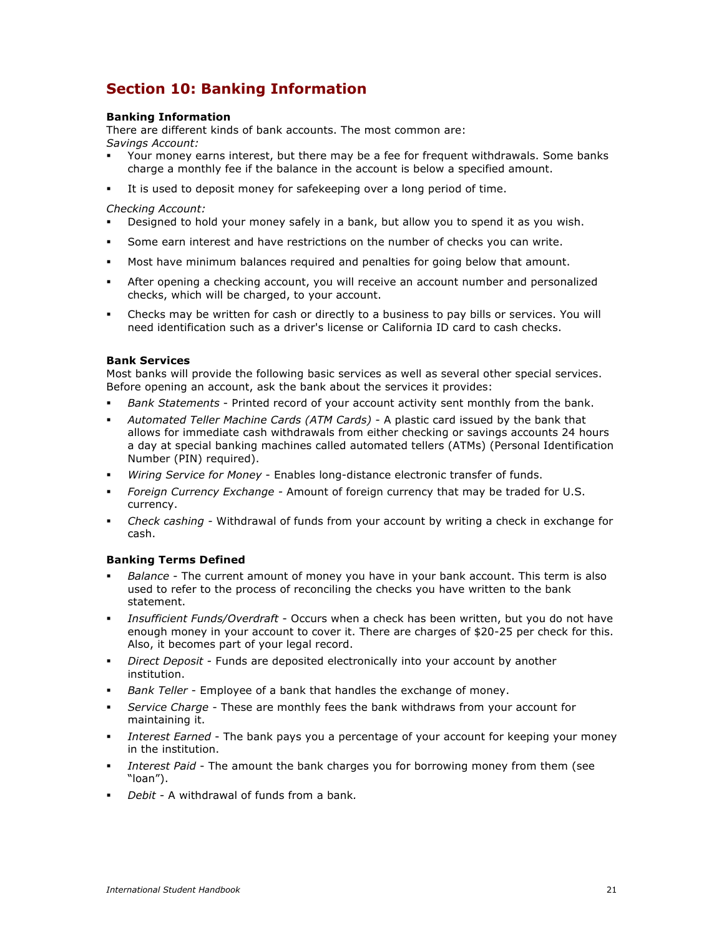## **Section 10: Banking Information**

### **Banking Information**

There are different kinds of bank accounts. The most common are: *Savings Account:* 

- Your money earns interest, but there may be a fee for frequent withdrawals. Some banks charge a monthly fee if the balance in the account is below a specified amount.
- It is used to deposit money for safekeeping over a long period of time.

#### *Checking Account:*

- Designed to hold your money safely in a bank, but allow you to spend it as you wish.
- Some earn interest and have restrictions on the number of checks you can write.
- Most have minimum balances required and penalties for going below that amount.
- After opening a checking account, you will receive an account number and personalized checks, which will be charged, to your account.
- Checks may be written for cash or directly to a business to pay bills or services. You will need identification such as a driver's license or California ID card to cash checks.

#### **Bank Services**

Most banks will provide the following basic services as well as several other special services. Before opening an account, ask the bank about the services it provides:

- *Bank Statements* Printed record of your account activity sent monthly from the bank.
- *Automated Teller Machine Cards (ATM Cards)* A plastic card issued by the bank that allows for immediate cash withdrawals from either checking or savings accounts 24 hours a day at special banking machines called automated tellers (ATMs) (Personal Identification Number (PIN) required).
- *Wiring Service for Money* Enables long-distance electronic transfer of funds.
- *Foreign Currency Exchange -* Amount of foreign currency that may be traded for U.S. currency.
- *Check cashing -* Withdrawal of funds from your account by writing a check in exchange for cash.

## **Banking Terms Defined**

- *Balance* The current amount of money you have in your bank account. This term is also used to refer to the process of reconciling the checks you have written to the bank statement.
- *Insufficient Funds/Overdraft* Occurs when a check has been written, but you do not have enough money in your account to cover it. There are charges of \$20-25 per check for this. Also, it becomes part of your legal record.
- *Direct Deposit* Funds are deposited electronically into your account by another institution.
- *Bank Teller* Employee of a bank that handles the exchange of money.
- *Service Charge* These are monthly fees the bank withdraws from your account for maintaining it.
- *Interest Earned* The bank pays you a percentage of your account for keeping your money in the institution.
- *Interest Paid* The amount the bank charges you for borrowing money from them (see "loan").
- *Debit* A withdrawal of funds from a bank*.*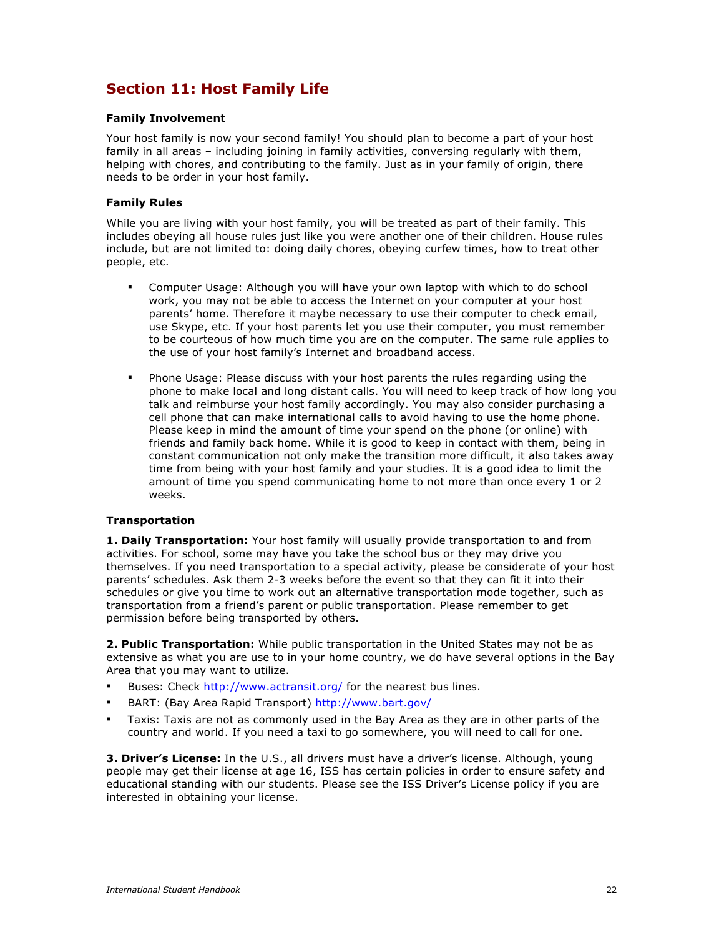## **Section 11: Host Family Life**

#### **Family Involvement**

Your host family is now your second family! You should plan to become a part of your host family in all areas - including joining in family activities, conversing regularly with them, helping with chores, and contributing to the family. Just as in your family of origin, there needs to be order in your host family.

### **Family Rules**

While you are living with your host family, you will be treated as part of their family. This includes obeying all house rules just like you were another one of their children. House rules include, but are not limited to: doing daily chores, obeying curfew times, how to treat other people, etc.

- Computer Usage: Although you will have your own laptop with which to do school work, you may not be able to access the Internet on your computer at your host parents' home. Therefore it maybe necessary to use their computer to check email, use Skype, etc. If your host parents let you use their computer, you must remember to be courteous of how much time you are on the computer. The same rule applies to the use of your host family's Internet and broadband access.
- Phone Usage: Please discuss with your host parents the rules regarding using the phone to make local and long distant calls. You will need to keep track of how long you talk and reimburse your host family accordingly. You may also consider purchasing a cell phone that can make international calls to avoid having to use the home phone. Please keep in mind the amount of time your spend on the phone (or online) with friends and family back home. While it is good to keep in contact with them, being in constant communication not only make the transition more difficult, it also takes away time from being with your host family and your studies. It is a good idea to limit the amount of time you spend communicating home to not more than once every 1 or 2 weeks.

## **Transportation**

**1. Daily Transportation:** Your host family will usually provide transportation to and from activities. For school, some may have you take the school bus or they may drive you themselves. If you need transportation to a special activity, please be considerate of your host parents' schedules. Ask them 2-3 weeks before the event so that they can fit it into their schedules or give you time to work out an alternative transportation mode together, such as transportation from a friend's parent or public transportation. Please remember to get permission before being transported by others.

**2. Public Transportation:** While public transportation in the United States may not be as extensive as what you are use to in your home country, we do have several options in the Bay Area that you may want to utilize.

- Buses: Check http://www.actransit.org/ for the nearest bus lines.
- BART: (Bay Area Rapid Transport) http://www.bart.gov/
- Taxis: Taxis are not as commonly used in the Bay Area as they are in other parts of the country and world. If you need a taxi to go somewhere, you will need to call for one.

**3. Driver's License:** In the U.S., all drivers must have a driver's license. Although, young people may get their license at age 16, ISS has certain policies in order to ensure safety and educational standing with our students. Please see the ISS Driver's License policy if you are interested in obtaining your license.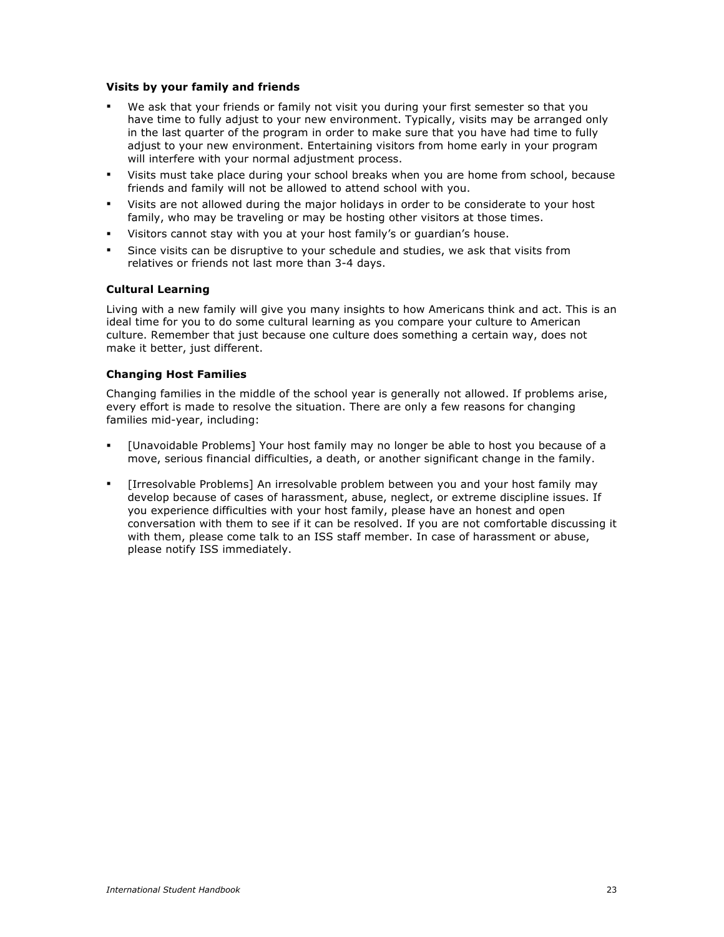#### **Visits by your family and friends**

- We ask that your friends or family not visit you during your first semester so that you have time to fully adjust to your new environment. Typically, visits may be arranged only in the last quarter of the program in order to make sure that you have had time to fully adjust to your new environment. Entertaining visitors from home early in your program will interfere with your normal adjustment process.
- Visits must take place during your school breaks when you are home from school, because friends and family will not be allowed to attend school with you.
- Visits are not allowed during the major holidays in order to be considerate to your host family, who may be traveling or may be hosting other visitors at those times.
- Visitors cannot stay with you at your host family's or guardian's house.
- Since visits can be disruptive to your schedule and studies, we ask that visits from relatives or friends not last more than 3-4 days.

## **Cultural Learning**

Living with a new family will give you many insights to how Americans think and act. This is an ideal time for you to do some cultural learning as you compare your culture to American culture. Remember that just because one culture does something a certain way, does not make it better, just different.

#### **Changing Host Families**

Changing families in the middle of the school year is generally not allowed. If problems arise, every effort is made to resolve the situation. There are only a few reasons for changing families mid-year, including:

- [Unavoidable Problems] Your host family may no longer be able to host you because of a move, serious financial difficulties, a death, or another significant change in the family.
- [Irresolvable Problems] An irresolvable problem between you and your host family may develop because of cases of harassment, abuse, neglect, or extreme discipline issues. If you experience difficulties with your host family, please have an honest and open conversation with them to see if it can be resolved. If you are not comfortable discussing it with them, please come talk to an ISS staff member. In case of harassment or abuse, please notify ISS immediately.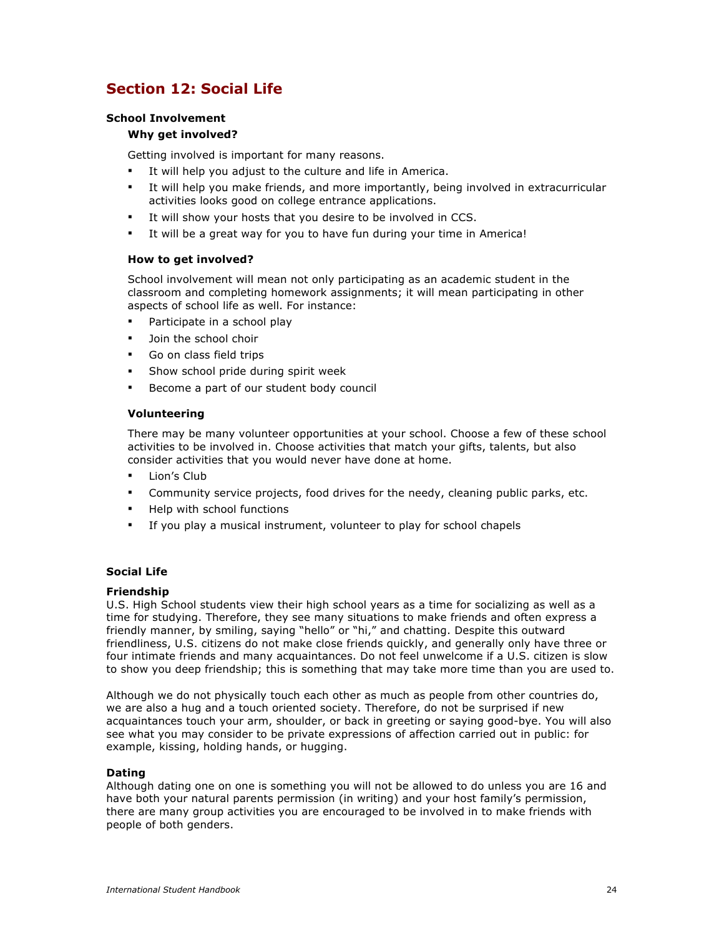## **Section 12: Social Life**

## **School Involvement**

### **Why get involved?**

Getting involved is important for many reasons.

- It will help you adjust to the culture and life in America.
- It will help you make friends, and more importantly, being involved in extracurricular activities looks good on college entrance applications.
- It will show your hosts that you desire to be involved in CCS.
- It will be a great way for you to have fun during your time in America!

#### **How to get involved?**

School involvement will mean not only participating as an academic student in the classroom and completing homework assignments; it will mean participating in other aspects of school life as well. For instance:

- Participate in a school play
- Join the school choir
- Go on class field trips
- **Show school pride during spirit week**
- Become a part of our student body council

#### **Volunteering**

There may be many volunteer opportunities at your school. Choose a few of these school activities to be involved in. Choose activities that match your gifts, talents, but also consider activities that you would never have done at home.

- Lion's Club
- Community service projects, food drives for the needy, cleaning public parks, etc.
- **Help with school functions**
- If you play a musical instrument, volunteer to play for school chapels

#### **Social Life**

#### **Friendship**

U.S. High School students view their high school years as a time for socializing as well as a time for studying. Therefore, they see many situations to make friends and often express a friendly manner, by smiling, saying "hello" or "hi," and chatting. Despite this outward friendliness, U.S. citizens do not make close friends quickly, and generally only have three or four intimate friends and many acquaintances. Do not feel unwelcome if a U.S. citizen is slow to show you deep friendship; this is something that may take more time than you are used to.

Although we do not physically touch each other as much as people from other countries do, we are also a hug and a touch oriented society. Therefore, do not be surprised if new acquaintances touch your arm, shoulder, or back in greeting or saying good-bye. You will also see what you may consider to be private expressions of affection carried out in public: for example, kissing, holding hands, or hugging.

#### **Dating**

Although dating one on one is something you will not be allowed to do unless you are 16 and have both your natural parents permission (in writing) and your host family's permission, there are many group activities you are encouraged to be involved in to make friends with people of both genders.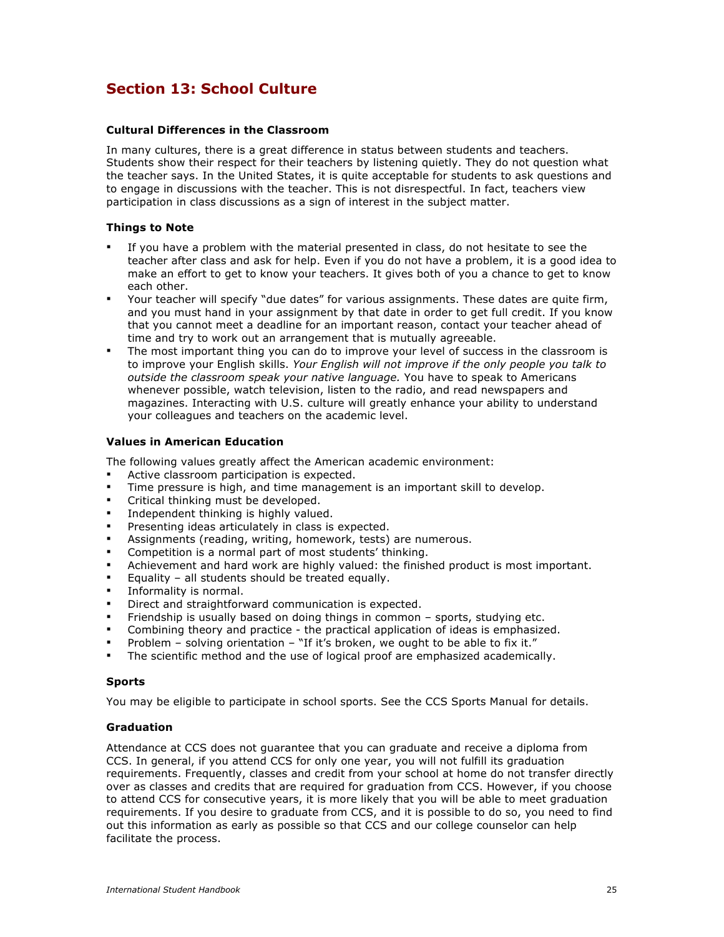## **Section 13: School Culture**

#### **Cultural Differences in the Classroom**

In many cultures, there is a great difference in status between students and teachers. Students show their respect for their teachers by listening quietly. They do not question what the teacher says. In the United States, it is quite acceptable for students to ask questions and to engage in discussions with the teacher. This is not disrespectful. In fact, teachers view participation in class discussions as a sign of interest in the subject matter.

#### **Things to Note**

- If you have a problem with the material presented in class, do not hesitate to see the teacher after class and ask for help. Even if you do not have a problem, it is a good idea to make an effort to get to know your teachers. It gives both of you a chance to get to know each other.
- Your teacher will specify "due dates" for various assignments. These dates are quite firm, and you must hand in your assignment by that date in order to get full credit. If you know that you cannot meet a deadline for an important reason, contact your teacher ahead of time and try to work out an arrangement that is mutually agreeable.
- The most important thing you can do to improve your level of success in the classroom is to improve your English skills. *Your English will not improve if the only people you talk to outside the classroom speak your native language.* You have to speak to Americans whenever possible, watch television, listen to the radio, and read newspapers and magazines. Interacting with U.S. culture will greatly enhance your ability to understand your colleagues and teachers on the academic level.

#### **Values in American Education**

The following values greatly affect the American academic environment:

- Active classroom participation is expected.
- Time pressure is high, and time management is an important skill to develop.
- Critical thinking must be developed.
- Independent thinking is highly valued.
- Presenting ideas articulately in class is expected.
- Assignments (reading, writing, homework, tests) are numerous.
- Competition is a normal part of most students' thinking.
- Achievement and hard work are highly valued: the finished product is most important.
- Equality all students should be treated equally.
- Informality is normal.
- Direct and straightforward communication is expected.
- Friendship is usually based on doing things in common sports, studying etc.
- Combining theory and practice the practical application of ideas is emphasized.
- Problem solving orientation "If it's broken, we ought to be able to fix it."
- The scientific method and the use of logical proof are emphasized academically.

#### **Sports**

You may be eligible to participate in school sports. See the CCS Sports Manual for details.

#### **Graduation**

Attendance at CCS does not guarantee that you can graduate and receive a diploma from CCS. In general, if you attend CCS for only one year, you will not fulfill its graduation requirements. Frequently, classes and credit from your school at home do not transfer directly over as classes and credits that are required for graduation from CCS. However, if you choose to attend CCS for consecutive years, it is more likely that you will be able to meet graduation requirements. If you desire to graduate from CCS, and it is possible to do so, you need to find out this information as early as possible so that CCS and our college counselor can help facilitate the process.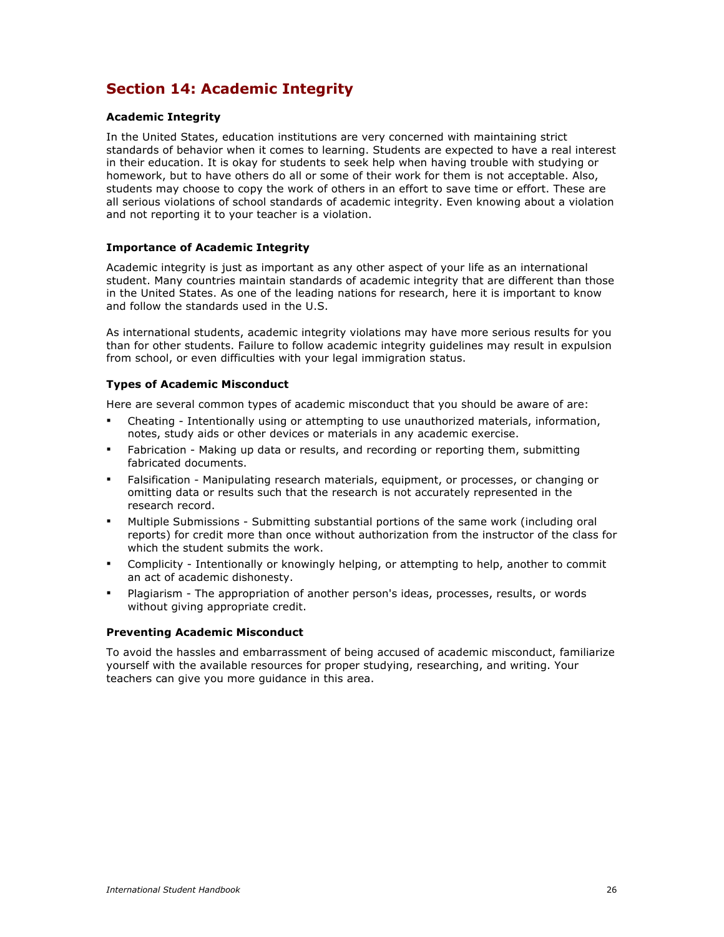## **Section 14: Academic Integrity**

### **Academic Integrity**

In the United States, education institutions are very concerned with maintaining strict standards of behavior when it comes to learning. Students are expected to have a real interest in their education. It is okay for students to seek help when having trouble with studying or homework, but to have others do all or some of their work for them is not acceptable. Also, students may choose to copy the work of others in an effort to save time or effort. These are all serious violations of school standards of academic integrity. Even knowing about a violation and not reporting it to your teacher is a violation.

## **Importance of Academic Integrity**

Academic integrity is just as important as any other aspect of your life as an international student. Many countries maintain standards of academic integrity that are different than those in the United States. As one of the leading nations for research, here it is important to know and follow the standards used in the U.S.

As international students, academic integrity violations may have more serious results for you than for other students. Failure to follow academic integrity guidelines may result in expulsion from school, or even difficulties with your legal immigration status.

#### **Types of Academic Misconduct**

Here are several common types of academic misconduct that you should be aware of are:

- Cheating Intentionally using or attempting to use unauthorized materials, information, notes, study aids or other devices or materials in any academic exercise.
- Fabrication Making up data or results, and recording or reporting them, submitting fabricated documents.
- Falsification Manipulating research materials, equipment, or processes, or changing or omitting data or results such that the research is not accurately represented in the research record.
- Multiple Submissions Submitting substantial portions of the same work (including oral reports) for credit more than once without authorization from the instructor of the class for which the student submits the work.
- Complicity Intentionally or knowingly helping, or attempting to help, another to commit an act of academic dishonesty.
- Plagiarism The appropriation of another person's ideas, processes, results, or words without giving appropriate credit.

#### **Preventing Academic Misconduct**

To avoid the hassles and embarrassment of being accused of academic misconduct, familiarize yourself with the available resources for proper studying, researching, and writing. Your teachers can give you more guidance in this area.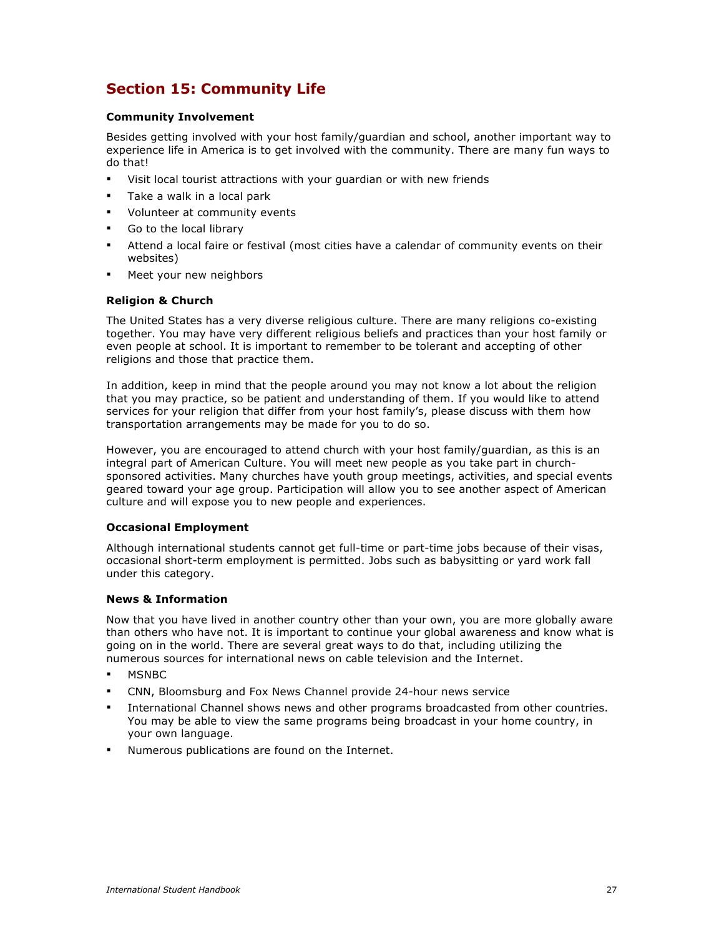## **Section 15: Community Life**

### **Community Involvement**

Besides getting involved with your host family/guardian and school, another important way to experience life in America is to get involved with the community. There are many fun ways to do that!

- Visit local tourist attractions with your guardian or with new friends
- **Take a walk in a local park**
- **•** Volunteer at community events
- Go to the local library
- Attend a local faire or festival (most cities have a calendar of community events on their websites)
- Meet your new neighbors

#### **Religion & Church**

The United States has a very diverse religious culture. There are many religions co-existing together. You may have very different religious beliefs and practices than your host family or even people at school. It is important to remember to be tolerant and accepting of other religions and those that practice them.

In addition, keep in mind that the people around you may not know a lot about the religion that you may practice, so be patient and understanding of them. If you would like to attend services for your religion that differ from your host family's, please discuss with them how transportation arrangements may be made for you to do so.

However, you are encouraged to attend church with your host family/guardian, as this is an integral part of American Culture. You will meet new people as you take part in churchsponsored activities. Many churches have youth group meetings, activities, and special events geared toward your age group. Participation will allow you to see another aspect of American culture and will expose you to new people and experiences.

#### **Occasional Employment**

Although international students cannot get full-time or part-time jobs because of their visas, occasional short-term employment is permitted. Jobs such as babysitting or yard work fall under this category.

#### **News & Information**

Now that you have lived in another country other than your own, you are more globally aware than others who have not. It is important to continue your global awareness and know what is going on in the world. There are several great ways to do that, including utilizing the numerous sources for international news on cable television and the Internet.

- **MSNBC**
- CNN, Bloomsburg and Fox News Channel provide 24-hour news service
- International Channel shows news and other programs broadcasted from other countries. You may be able to view the same programs being broadcast in your home country, in your own language.
- Numerous publications are found on the Internet.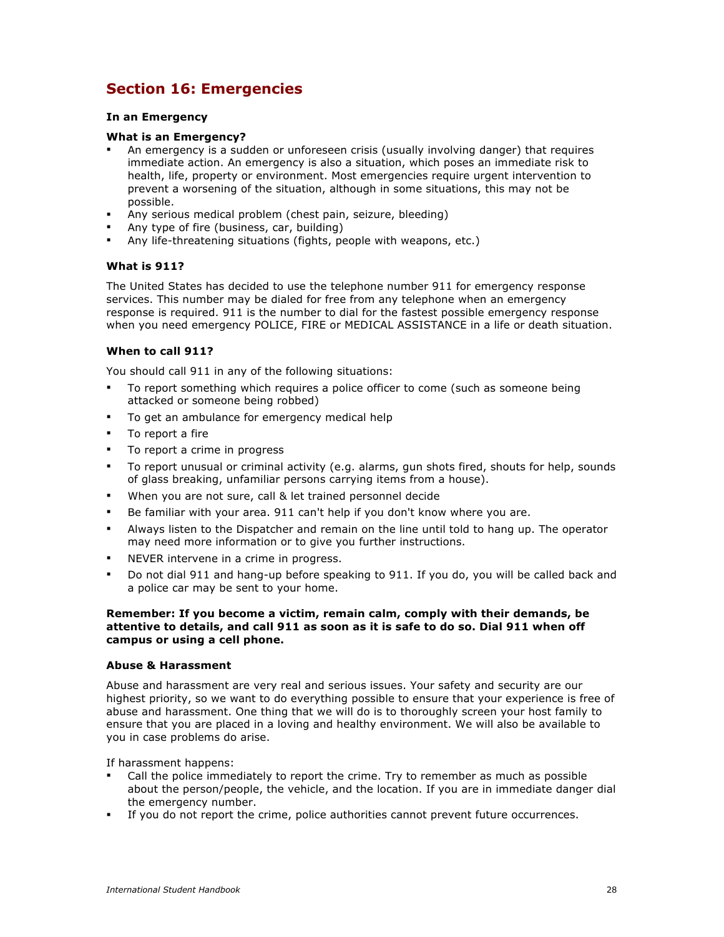## **Section 16: Emergencies**

### **In an Emergency**

#### **What is an Emergency?**

- An emergency is a sudden or unforeseen crisis (usually involving danger) that requires immediate action. An emergency is also a situation, which poses an immediate risk to health, life, property or environment. Most emergencies require urgent intervention to prevent a worsening of the situation, although in some situations, this may not be possible.
- Any serious medical problem (chest pain, seizure, bleeding)
- Any type of fire (business, car, building)
- Any life-threatening situations (fights, people with weapons, etc.)

## **What is 911?**

The United States has decided to use the telephone number 911 for emergency response services. This number may be dialed for free from any telephone when an emergency response is required. 911 is the number to dial for the fastest possible emergency response when you need emergency POLICE, FIRE or MEDICAL ASSISTANCE in a life or death situation.

#### **When to call 911?**

You should call 911 in any of the following situations:

- To report something which requires a police officer to come (such as someone being attacked or someone being robbed)
- To get an ambulance for emergency medical help
- **To report a fire**
- To report a crime in progress
- To report unusual or criminal activity (e.g. alarms, gun shots fired, shouts for help, sounds of glass breaking, unfamiliar persons carrying items from a house).
- When you are not sure, call & let trained personnel decide
- Be familiar with your area. 911 can't help if you don't know where you are.
- Always listen to the Dispatcher and remain on the line until told to hang up. The operator may need more information or to give you further instructions.
- NEVER intervene in a crime in progress.
- Do not dial 911 and hang-up before speaking to 911. If you do, you will be called back and a police car may be sent to your home.

#### **Remember: If you become a victim, remain calm, comply with their demands, be attentive to details, and call 911 as soon as it is safe to do so. Dial 911 when off campus or using a cell phone.**

#### **Abuse & Harassment**

Abuse and harassment are very real and serious issues. Your safety and security are our highest priority, so we want to do everything possible to ensure that your experience is free of abuse and harassment. One thing that we will do is to thoroughly screen your host family to ensure that you are placed in a loving and healthy environment. We will also be available to you in case problems do arise.

If harassment happens:

- Call the police immediately to report the crime. Try to remember as much as possible about the person/people, the vehicle, and the location. If you are in immediate danger dial the emergency number.
- If you do not report the crime, police authorities cannot prevent future occurrences.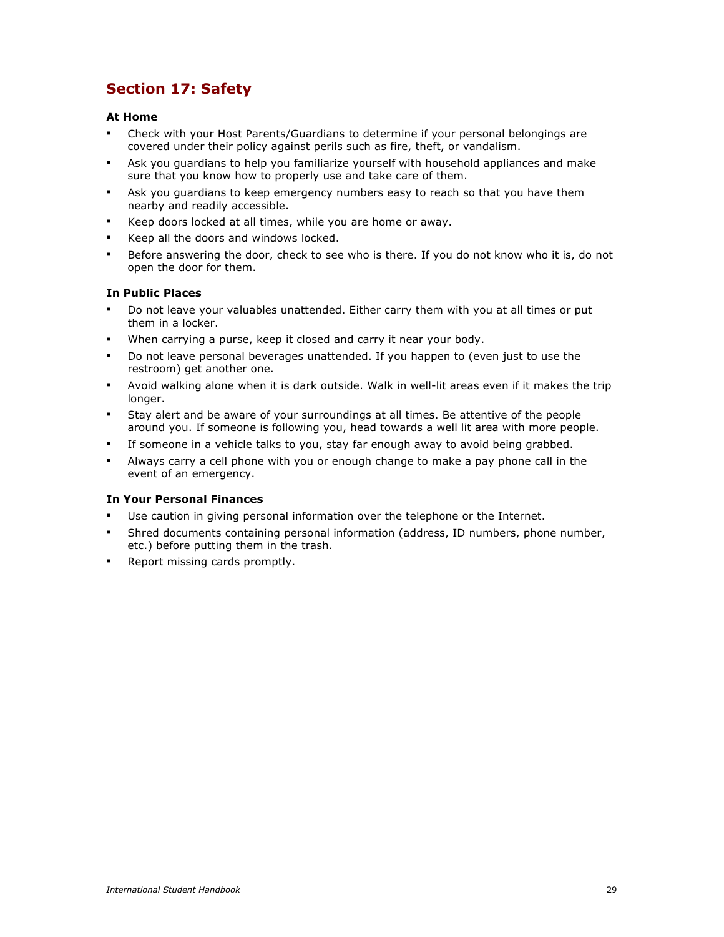## **Section 17: Safety**

## **At Home**

- Check with your Host Parents/Guardians to determine if your personal belongings are covered under their policy against perils such as fire, theft, or vandalism.
- Ask you guardians to help you familiarize yourself with household appliances and make sure that you know how to properly use and take care of them.
- Ask you guardians to keep emergency numbers easy to reach so that you have them nearby and readily accessible.
- Keep doors locked at all times, while you are home or away.
- Keep all the doors and windows locked.
- Before answering the door, check to see who is there. If you do not know who it is, do not open the door for them.

## **In Public Places**

- Do not leave your valuables unattended. Either carry them with you at all times or put them in a locker.
- When carrying a purse, keep it closed and carry it near your body.
- Do not leave personal beverages unattended. If you happen to (even just to use the restroom) get another one.
- Avoid walking alone when it is dark outside. Walk in well-lit areas even if it makes the trip longer.
- Stay alert and be aware of your surroundings at all times. Be attentive of the people around you. If someone is following you, head towards a well lit area with more people.
- If someone in a vehicle talks to you, stay far enough away to avoid being grabbed.
- Always carry a cell phone with you or enough change to make a pay phone call in the event of an emergency.

## **In Your Personal Finances**

- Use caution in giving personal information over the telephone or the Internet.
- Shred documents containing personal information (address, ID numbers, phone number, etc.) before putting them in the trash.
- **Report missing cards promptly.**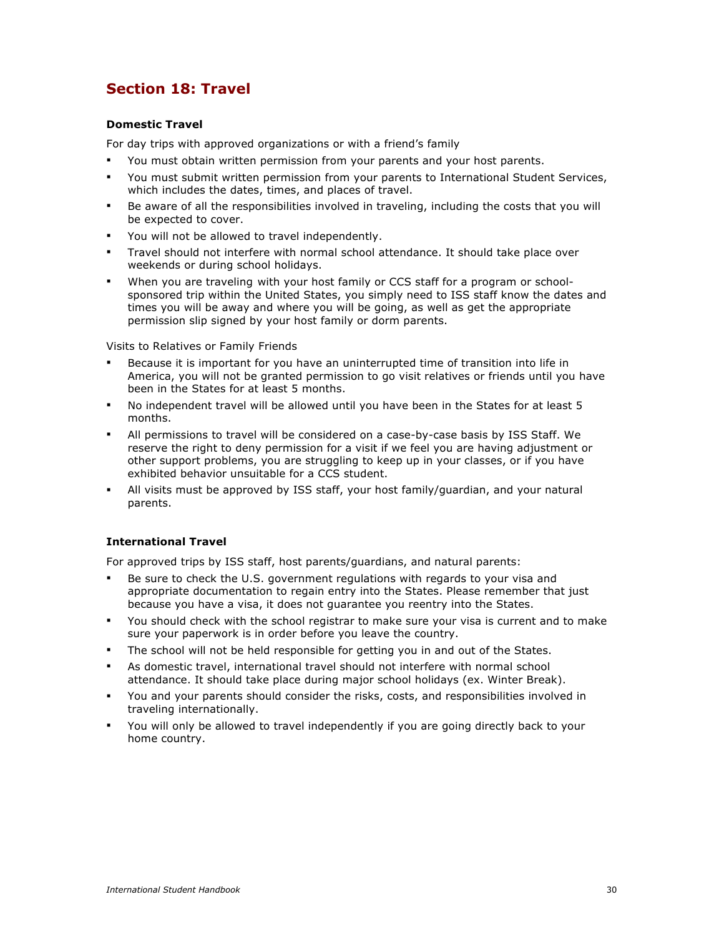## **Section 18: Travel**

## **Domestic Travel**

For day trips with approved organizations or with a friend's family

- You must obtain written permission from your parents and your host parents.
- You must submit written permission from your parents to International Student Services, which includes the dates, times, and places of travel.
- Be aware of all the responsibilities involved in traveling, including the costs that you will be expected to cover.
- You will not be allowed to travel independently.
- Travel should not interfere with normal school attendance. It should take place over weekends or during school holidays.
- When you are traveling with your host family or CCS staff for a program or schoolsponsored trip within the United States, you simply need to ISS staff know the dates and times you will be away and where you will be going, as well as get the appropriate permission slip signed by your host family or dorm parents.

Visits to Relatives or Family Friends

- Because it is important for you have an uninterrupted time of transition into life in America, you will not be granted permission to go visit relatives or friends until you have been in the States for at least 5 months.
- No independent travel will be allowed until you have been in the States for at least 5 months.
- All permissions to travel will be considered on a case-by-case basis by ISS Staff. We reserve the right to deny permission for a visit if we feel you are having adjustment or other support problems, you are struggling to keep up in your classes, or if you have exhibited behavior unsuitable for a CCS student.
- All visits must be approved by ISS staff, your host family/guardian, and your natural parents.

## **International Travel**

For approved trips by ISS staff, host parents/guardians, and natural parents:

- Be sure to check the U.S. government regulations with regards to your visa and appropriate documentation to regain entry into the States. Please remember that just because you have a visa, it does not guarantee you reentry into the States.
- You should check with the school registrar to make sure your visa is current and to make sure your paperwork is in order before you leave the country.
- The school will not be held responsible for getting you in and out of the States.
- As domestic travel, international travel should not interfere with normal school attendance. It should take place during major school holidays (ex. Winter Break).
- You and your parents should consider the risks, costs, and responsibilities involved in traveling internationally.
- You will only be allowed to travel independently if you are going directly back to your home country.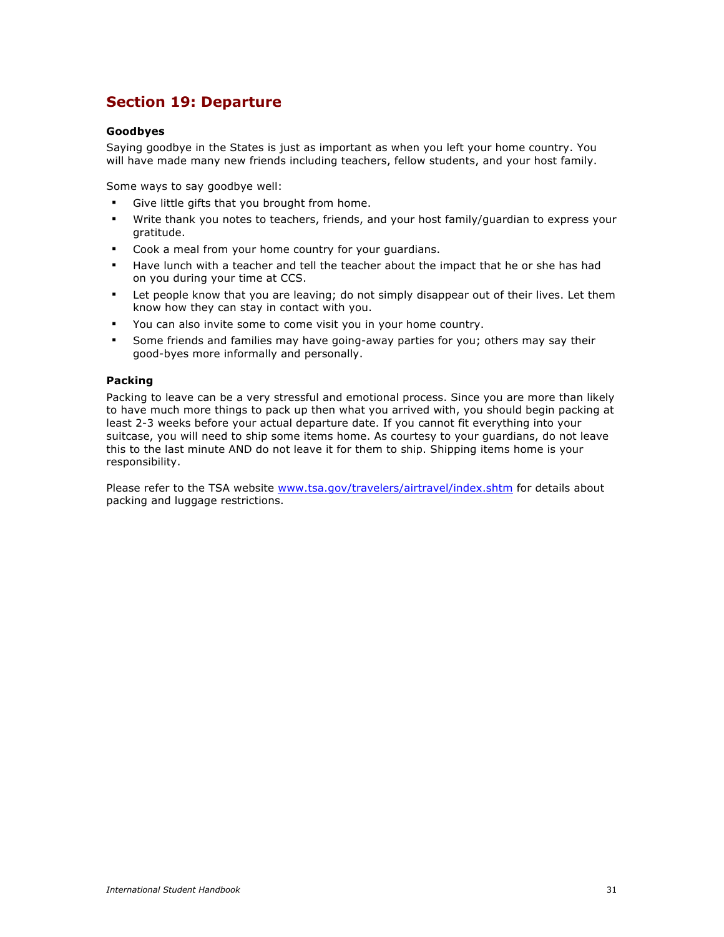## **Section 19: Departure**

### **Goodbyes**

Saying goodbye in the States is just as important as when you left your home country. You will have made many new friends including teachers, fellow students, and your host family.

Some ways to say goodbye well:

- Give little gifts that you brought from home.
- Write thank you notes to teachers, friends, and your host family/guardian to express your gratitude.
- Cook a meal from your home country for your guardians.
- Have lunch with a teacher and tell the teacher about the impact that he or she has had on you during your time at CCS.
- Let people know that you are leaving; do not simply disappear out of their lives. Let them know how they can stay in contact with you.
- You can also invite some to come visit you in your home country.
- Some friends and families may have going-away parties for you; others may say their good-byes more informally and personally.

#### **Packing**

Packing to leave can be a very stressful and emotional process. Since you are more than likely to have much more things to pack up then what you arrived with, you should begin packing at least 2-3 weeks before your actual departure date. If you cannot fit everything into your suitcase, you will need to ship some items home. As courtesy to your guardians, do not leave this to the last minute AND do not leave it for them to ship. Shipping items home is your responsibility.

Please refer to the TSA website www.tsa.gov/travelers/airtravel/index.shtm for details about packing and luggage restrictions.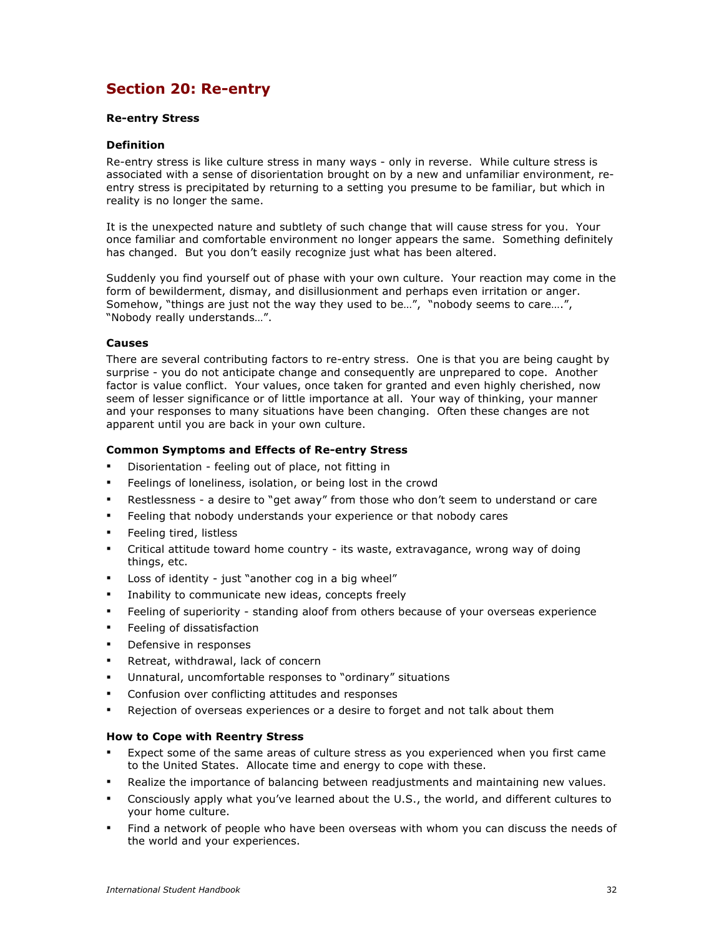## **Section 20: Re-entry**

#### **Re-entry Stress**

#### **Definition**

Re-entry stress is like culture stress in many ways - only in reverse. While culture stress is associated with a sense of disorientation brought on by a new and unfamiliar environment, reentry stress is precipitated by returning to a setting you presume to be familiar, but which in reality is no longer the same.

It is the unexpected nature and subtlety of such change that will cause stress for you. Your once familiar and comfortable environment no longer appears the same. Something definitely has changed. But you don't easily recognize just what has been altered.

Suddenly you find yourself out of phase with your own culture. Your reaction may come in the form of bewilderment, dismay, and disillusionment and perhaps even irritation or anger. Somehow, "things are just not the way they used to be…", "nobody seems to care….", "Nobody really understands…".

#### **Causes**

There are several contributing factors to re-entry stress. One is that you are being caught by surprise - you do not anticipate change and consequently are unprepared to cope. Another factor is value conflict. Your values, once taken for granted and even highly cherished, now seem of lesser significance or of little importance at all. Your way of thinking, your manner and your responses to many situations have been changing. Often these changes are not apparent until you are back in your own culture.

## **Common Symptoms and Effects of Re-entry Stress**

- Disorientation feeling out of place, not fitting in
- **Feelings of loneliness, isolation, or being lost in the crowd**
- Restlessness a desire to "get away" from those who don't seem to understand or care
- Feeling that nobody understands your experience or that nobody cares
- Feeling tired, listless
- Critical attitude toward home country its waste, extravagance, wrong way of doing things, etc.
- Loss of identity just "another cog in a big wheel"
- **EXEDENT** Inability to communicate new ideas, concepts freely
- Feeling of superiority standing aloof from others because of your overseas experience
- Feeling of dissatisfaction
- Defensive in responses
- **Retreat, withdrawal, lack of concern**
- Unnatural, uncomfortable responses to "ordinary" situations
- Confusion over conflicting attitudes and responses
- Rejection of overseas experiences or a desire to forget and not talk about them

#### **How to Cope with Reentry Stress**

- Expect some of the same areas of culture stress as you experienced when you first came to the United States. Allocate time and energy to cope with these.
- Realize the importance of balancing between readjustments and maintaining new values.
- Consciously apply what you've learned about the U.S., the world, and different cultures to your home culture.
- Find a network of people who have been overseas with whom you can discuss the needs of the world and your experiences.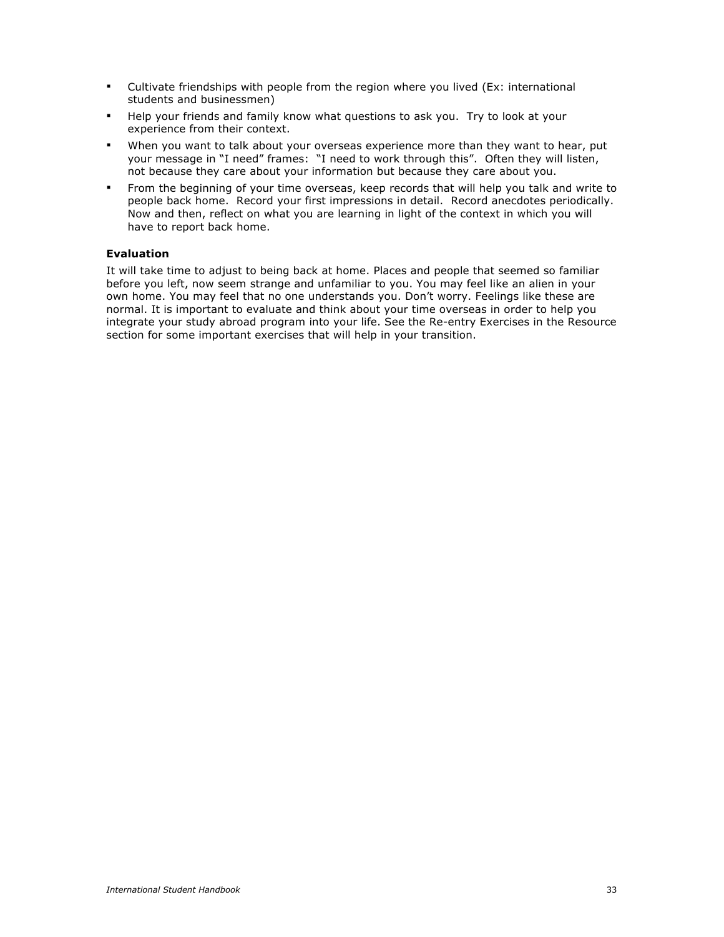- Cultivate friendships with people from the region where you lived (Ex: international students and businessmen)
- Help your friends and family know what questions to ask you. Try to look at your experience from their context.
- When you want to talk about your overseas experience more than they want to hear, put your message in "I need" frames: "I need to work through this". Often they will listen, not because they care about your information but because they care about you.
- From the beginning of your time overseas, keep records that will help you talk and write to people back home. Record your first impressions in detail. Record anecdotes periodically. Now and then, reflect on what you are learning in light of the context in which you will have to report back home.

## **Evaluation**

It will take time to adjust to being back at home. Places and people that seemed so familiar before you left, now seem strange and unfamiliar to you. You may feel like an alien in your own home. You may feel that no one understands you. Don't worry. Feelings like these are normal. It is important to evaluate and think about your time overseas in order to help you integrate your study abroad program into your life. See the Re-entry Exercises in the Resource section for some important exercises that will help in your transition.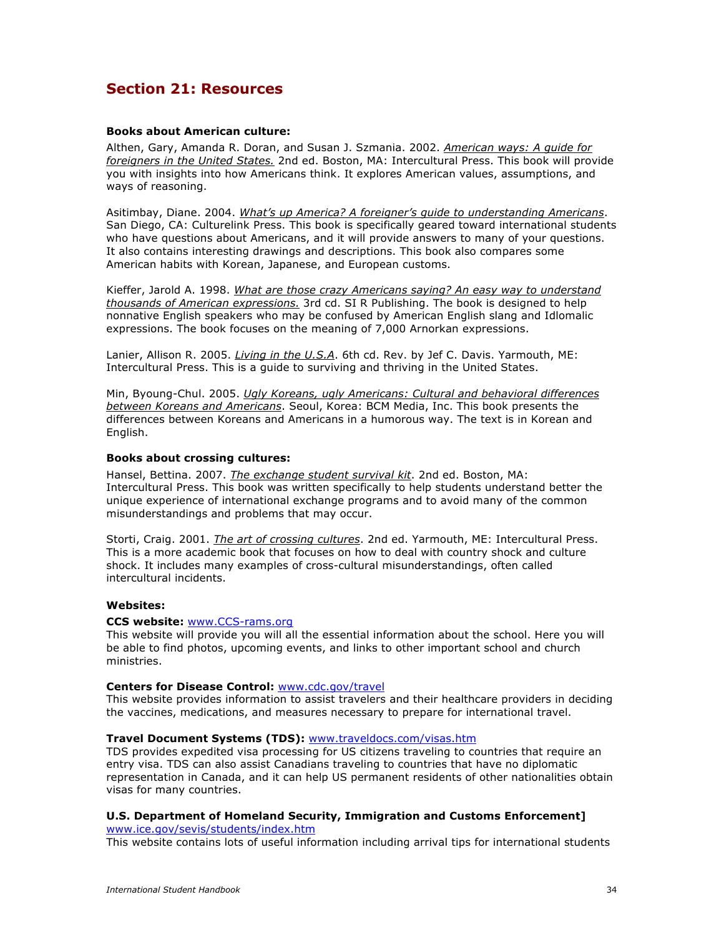## **Section 21: Resources**

#### **Books about American culture:**

Althen, Gary, Amanda R. Doran, and Susan J. Szmania. 2002. *American ways: A guide for foreigners in the United States.* 2nd ed. Boston, MA: Intercultural Press. This book will provide you with insights into how Americans think. It explores American values, assumptions, and ways of reasoning.

Asitimbay, Diane. 2004. *What's up America? A foreigner's guide to understanding Americans*. San Diego, CA: Culturelink Press. This book is specifically geared toward international students who have questions about Americans, and it will provide answers to many of your questions. It also contains interesting drawings and descriptions. This book also compares some American habits with Korean, Japanese, and European customs.

Kieffer, Jarold A. 1998. *What are those crazy Americans saying? An easy way to understand thousands of American expressions.* 3rd cd. SI R Publishing. The book is designed to help nonnative English speakers who may be confused by American English slang and Idlomalic expressions. The book focuses on the meaning of 7,000 Arnorkan expressions.

Lanier, Allison R. 2005. *Living in the U.S.A*. 6th cd. Rev. by Jef C. Davis. Yarmouth, ME: Intercultural Press. This is a guide to surviving and thriving in the United States.

Min, Byoung-Chul. 2005. *Ugly Koreans, ugly Americans: Cultural and behavioral differences between Koreans and Americans*. Seoul, Korea: BCM Media, Inc. This book presents the differences between Koreans and Americans in a humorous way. The text is in Korean and English.

#### **Books about crossing cultures:**

Hansel, Bettina. 2007. *The exchange student survival kit*. 2nd ed. Boston, MA: Intercultural Press. This book was written specifically to help students understand better the unique experience of international exchange programs and to avoid many of the common misunderstandings and problems that may occur.

Storti, Craig. 2001. *The art of crossing cultures*. 2nd ed. Yarmouth, ME: Intercultural Press. This is a more academic book that focuses on how to deal with country shock and culture shock. It includes many examples of cross-cultural misunderstandings, often called intercultural incidents.

#### **Websites:**

#### **CCS website:** www.CCS-rams.org

This website will provide you will all the essential information about the school. Here you will be able to find photos, upcoming events, and links to other important school and church ministries.

#### **Centers for Disease Control:** www.cdc.gov/travel

This website provides information to assist travelers and their healthcare providers in deciding the vaccines, medications, and measures necessary to prepare for international travel.

#### **Travel Document Systems (TDS):** www.traveldocs.com/visas.htm

TDS provides expedited visa processing for US citizens traveling to countries that require an entry visa. TDS can also assist Canadians traveling to countries that have no diplomatic representation in Canada, and it can help US permanent residents of other nationalities obtain visas for many countries.

#### **U.S. Department of Homeland Security, Immigration and Customs Enforcement]**

www.ice.gov/sevis/students/index.htm

This website contains lots of useful information including arrival tips for international students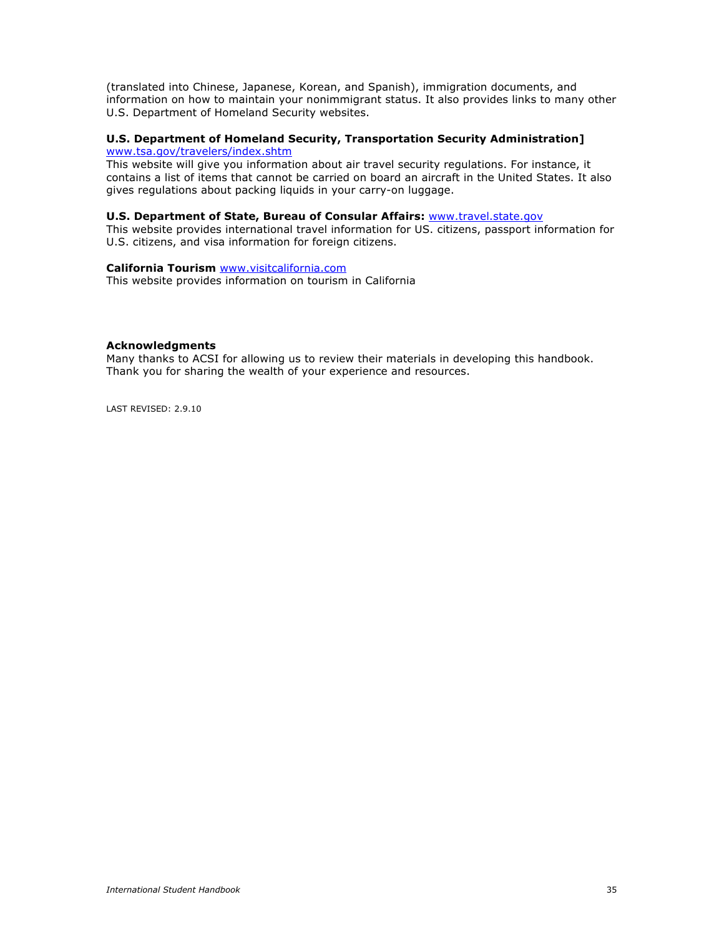(translated into Chinese, Japanese, Korean, and Spanish), immigration documents, and information on how to maintain your nonimmigrant status. It also provides links to many other U.S. Department of Homeland Security websites.

#### **U.S. Department of Homeland Security, Transportation Security Administration]** www.tsa.gov/travelers/index.shtm

This website will give you information about air travel security regulations. For instance, it contains a list of items that cannot be carried on board an aircraft in the United States. It also gives regulations about packing liquids in your carry-on luggage.

### **U.S. Department of State, Bureau of Consular Affairs:** www.travel.state.gov

This website provides international travel information for US. citizens, passport information for U.S. citizens, and visa information for foreign citizens.

#### **California Tourism** www.visitcalifornia.com

This website provides information on tourism in California

#### **Acknowledgments**

Many thanks to ACSI for allowing us to review their materials in developing this handbook. Thank you for sharing the wealth of your experience and resources.

LAST REVISED: 2.9.10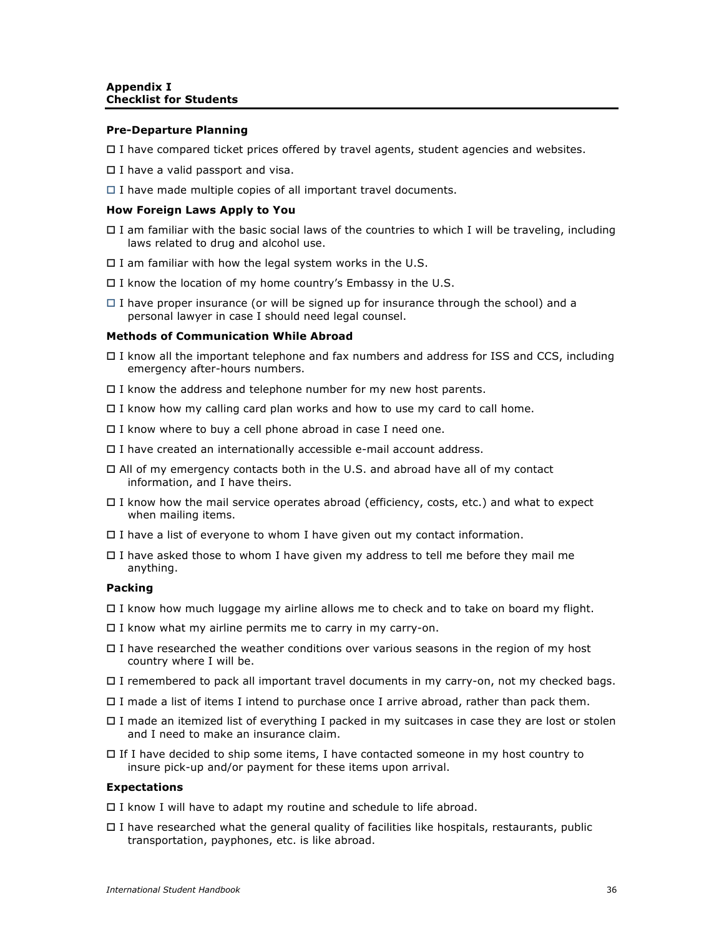#### **Pre-Departure Planning**

 $\Box$  I have compared ticket prices offered by travel agents, student agencies and websites.

- $\square$  I have a valid passport and visa.
- $\Box$  I have made multiple copies of all important travel documents.

#### **How Foreign Laws Apply to You**

- $\Box$  I am familiar with the basic social laws of the countries to which I will be traveling, including laws related to drug and alcohol use.
- $\Box$  I am familiar with how the legal system works in the U.S.
- $\Box$  I know the location of my home country's Embassy in the U.S.
- $\Box$  I have proper insurance (or will be signed up for insurance through the school) and a personal lawyer in case I should need legal counsel.

#### **Methods of Communication While Abroad**

- I know all the important telephone and fax numbers and address for ISS and CCS, including emergency after-hours numbers.
- $\Box$  I know the address and telephone number for my new host parents.
- $\Box$  I know how my calling card plan works and how to use my card to call home.
- □ I know where to buy a cell phone abroad in case I need one.
- $\Box$  I have created an internationally accessible e-mail account address.
- All of my emergency contacts both in the U.S. and abroad have all of my contact information, and I have theirs.
- I know how the mail service operates abroad (efficiency, costs, etc.) and what to expect when mailing items.
- $\Box$  I have a list of everyone to whom I have given out my contact information.
- $\Box$  I have asked those to whom I have given my address to tell me before they mail me anything.

#### **Packing**

- $\Box$  I know how much luggage my airline allows me to check and to take on board my flight.
- $\Box$  I know what my airline permits me to carry in my carry-on.
- $\Box$  I have researched the weather conditions over various seasons in the region of my host country where I will be.
- $\Box$  I remembered to pack all important travel documents in my carry-on, not my checked bags.
- $\Box$  I made a list of items I intend to purchase once I arrive abroad, rather than pack them.
- I made an itemized list of everything I packed in my suitcases in case they are lost or stolen and I need to make an insurance claim.
- $\Box$  If I have decided to ship some items, I have contacted someone in my host country to insure pick-up and/or payment for these items upon arrival.

#### **Expectations**

□ I know I will have to adapt my routine and schedule to life abroad.

 $\Box$  I have researched what the general quality of facilities like hospitals, restaurants, public transportation, payphones, etc. is like abroad.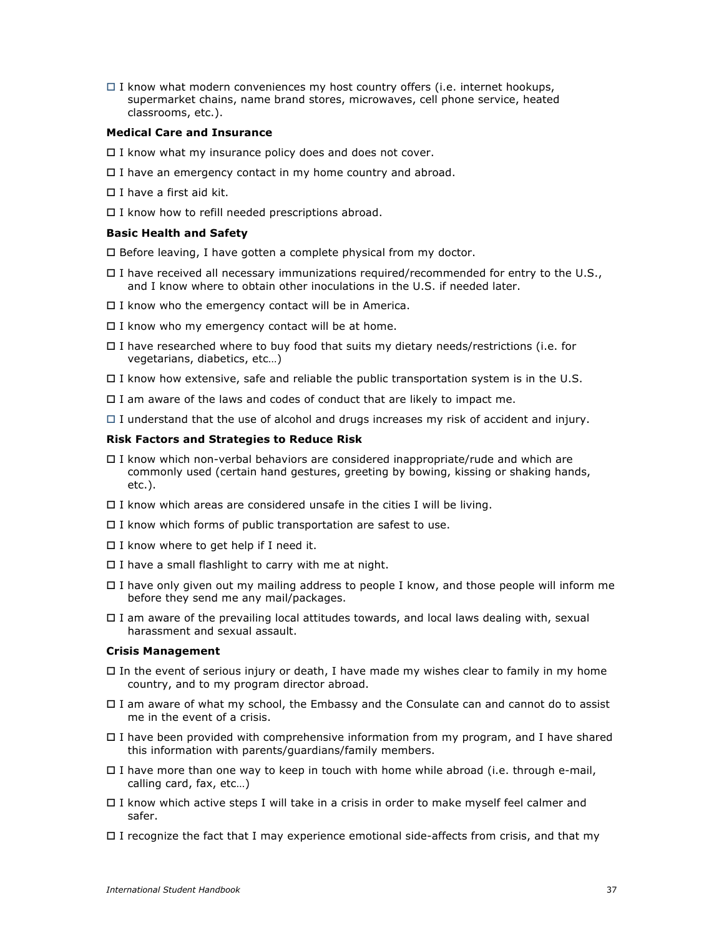$\Box$  I know what modern conveniences my host country offers (i.e. internet hookups, supermarket chains, name brand stores, microwaves, cell phone service, heated classrooms, etc.).

#### **Medical Care and Insurance**

- $\Box$  I know what my insurance policy does and does not cover.
- $\Box$  I have an emergency contact in my home country and abroad.
- $\Box$  I have a first aid kit.
- $\Box$  I know how to refill needed prescriptions abroad.

#### **Basic Health and Safety**

 $\Box$  Before leaving, I have gotten a complete physical from my doctor.

- $\square$  I have received all necessary immunizations required/recommended for entry to the U.S., and I know where to obtain other inoculations in the U.S. if needed later.
- $\Box$  I know who the emergency contact will be in America.
- $\Box$  I know who my emergency contact will be at home.
- $\Box$  I have researched where to buy food that suits my dietary needs/restrictions (i.e. for vegetarians, diabetics, etc…)
- $\Box$  I know how extensive, safe and reliable the public transportation system is in the U.S.
- $\Box$  I am aware of the laws and codes of conduct that are likely to impact me.
- $\Box$  I understand that the use of alcohol and drugs increases my risk of accident and injury.

#### **Risk Factors and Strategies to Reduce Risk**

- $\Box$  I know which non-verbal behaviors are considered inappropriate/rude and which are commonly used (certain hand gestures, greeting by bowing, kissing or shaking hands, etc.).
- $\Box$  I know which areas are considered unsafe in the cities I will be living.
- $\Box$  I know which forms of public transportation are safest to use.
- $\Box$  I know where to get help if I need it.
- $\Box$  I have a small flashlight to carry with me at night.
- I have only given out my mailing address to people I know, and those people will inform me before they send me any mail/packages.
- $\Box$  I am aware of the prevailing local attitudes towards, and local laws dealing with, sexual harassment and sexual assault.

#### **Crisis Management**

- $\Box$  In the event of serious injury or death, I have made my wishes clear to family in my home country, and to my program director abroad.
- I am aware of what my school, the Embassy and the Consulate can and cannot do to assist me in the event of a crisis.
- $\Box$  I have been provided with comprehensive information from my program, and I have shared this information with parents/guardians/family members.
- $\Box$  I have more than one way to keep in touch with home while abroad (i.e. through e-mail, calling card, fax, etc…)
- I know which active steps I will take in a crisis in order to make myself feel calmer and safer.
- $\Box$  I recognize the fact that I may experience emotional side-affects from crisis, and that my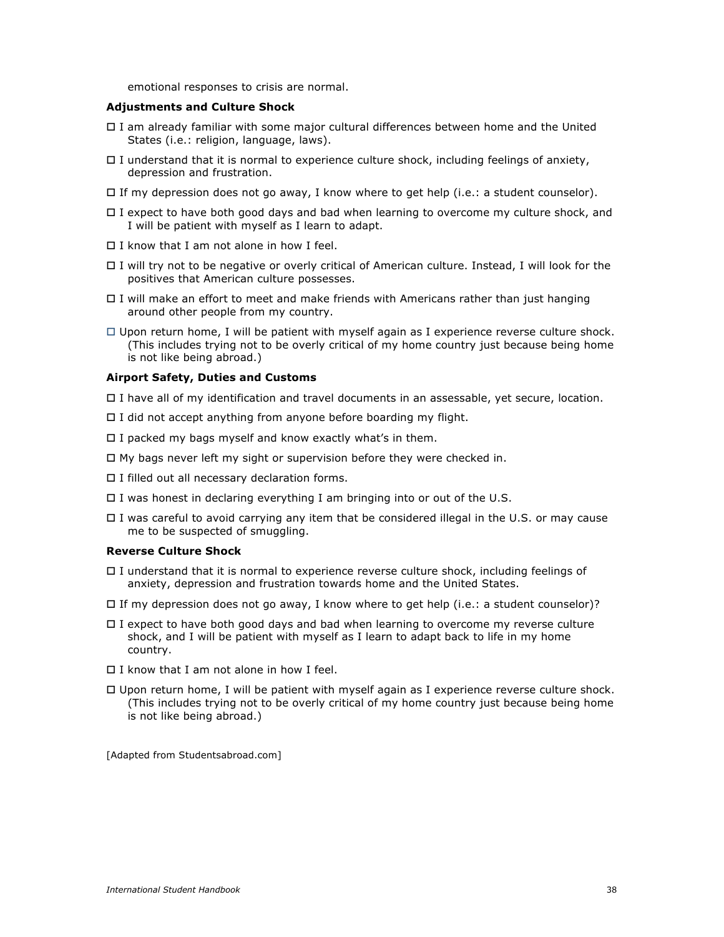emotional responses to crisis are normal.

#### **Adjustments and Culture Shock**

- I am already familiar with some major cultural differences between home and the United States (i.e.: religion, language, laws).
- $\Box$  I understand that it is normal to experience culture shock, including feelings of anxiety, depression and frustration.
- $\Box$  If my depression does not go away, I know where to get help (i.e.: a student counselor).
- $\Box$  I expect to have both good days and bad when learning to overcome my culture shock, and I will be patient with myself as I learn to adapt.
- $\Box$  I know that I am not alone in how I feel.
- I will try not to be negative or overly critical of American culture. Instead, I will look for the positives that American culture possesses.
- $\Box$  I will make an effort to meet and make friends with Americans rather than just hanging around other people from my country.
- $\Box$  Upon return home, I will be patient with myself again as I experience reverse culture shock. (This includes trying not to be overly critical of my home country just because being home is not like being abroad.)

#### **Airport Safety, Duties and Customs**

- I have all of my identification and travel documents in an assessable, yet secure, location.
- $\Box$  I did not accept anything from anyone before boarding my flight.
- $\Box$  I packed my bags myself and know exactly what's in them.
- $\Box$  My bags never left my sight or supervision before they were checked in.
- □ I filled out all necessary declaration forms.
- $\Box$  I was honest in declaring everything I am bringing into or out of the U.S.
- $\Box$  I was careful to avoid carrying any item that be considered illegal in the U.S. or may cause me to be suspected of smuggling.

#### **Reverse Culture Shock**

- $\Box$  I understand that it is normal to experience reverse culture shock, including feelings of anxiety, depression and frustration towards home and the United States.
- $\Box$  If my depression does not go away, I know where to get help (i.e.: a student counselor)?
- $\Box$  I expect to have both good days and bad when learning to overcome my reverse culture shock, and I will be patient with myself as I learn to adapt back to life in my home country.
- $\Box$  I know that I am not alone in how I feel.
- Upon return home, I will be patient with myself again as I experience reverse culture shock. (This includes trying not to be overly critical of my home country just because being home is not like being abroad.)

[Adapted from Studentsabroad.com]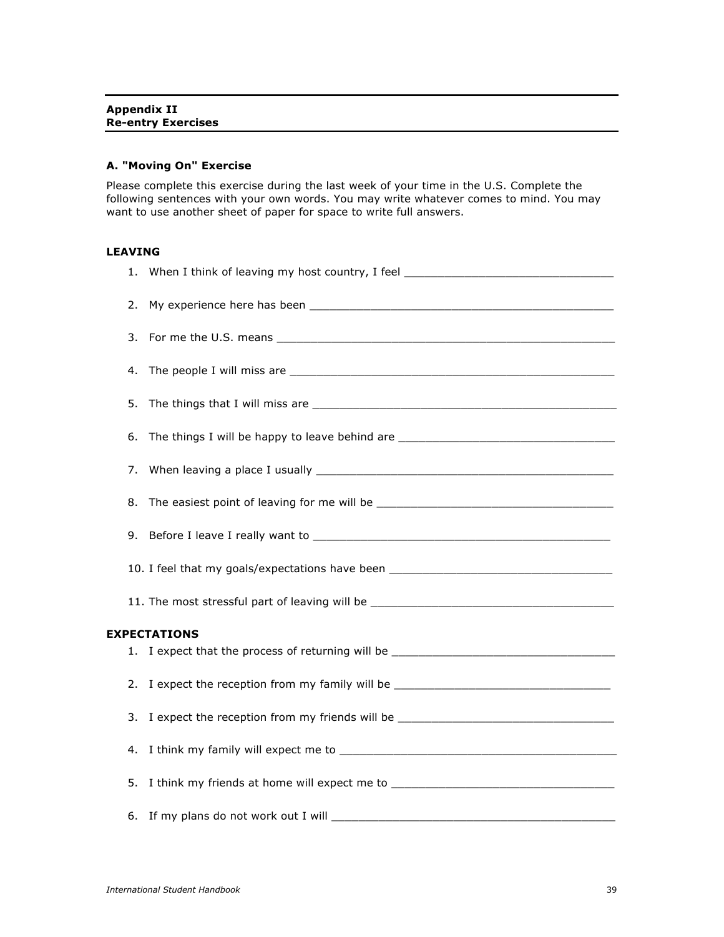## **A. "Moving On" Exercise**

Please complete this exercise during the last week of your time in the U.S. Complete the following sentences with your own words. You may write whatever comes to mind. You may want to use another sheet of paper for space to write full answers.

## **LEAVING**

| 1. | When I think of leaving my host country, I feel ________________________________  |
|----|-----------------------------------------------------------------------------------|
| 2. |                                                                                   |
| 3. |                                                                                   |
| 4. |                                                                                   |
| 5. |                                                                                   |
| 6. | The things I will be happy to leave behind are __________________________________ |
| 7. |                                                                                   |
| 8. |                                                                                   |
| 9. |                                                                                   |
|    | 10. I feel that my goals/expectations have been ________________________________  |
|    |                                                                                   |
|    | <b>EXPECTATIONS</b>                                                               |
|    | 1. I expect that the process of returning will be ______________________________  |
| 2. |                                                                                   |
| 3. | I expect the reception from my friends will be _________________________________  |
| 4. |                                                                                   |
| 5. |                                                                                   |
|    |                                                                                   |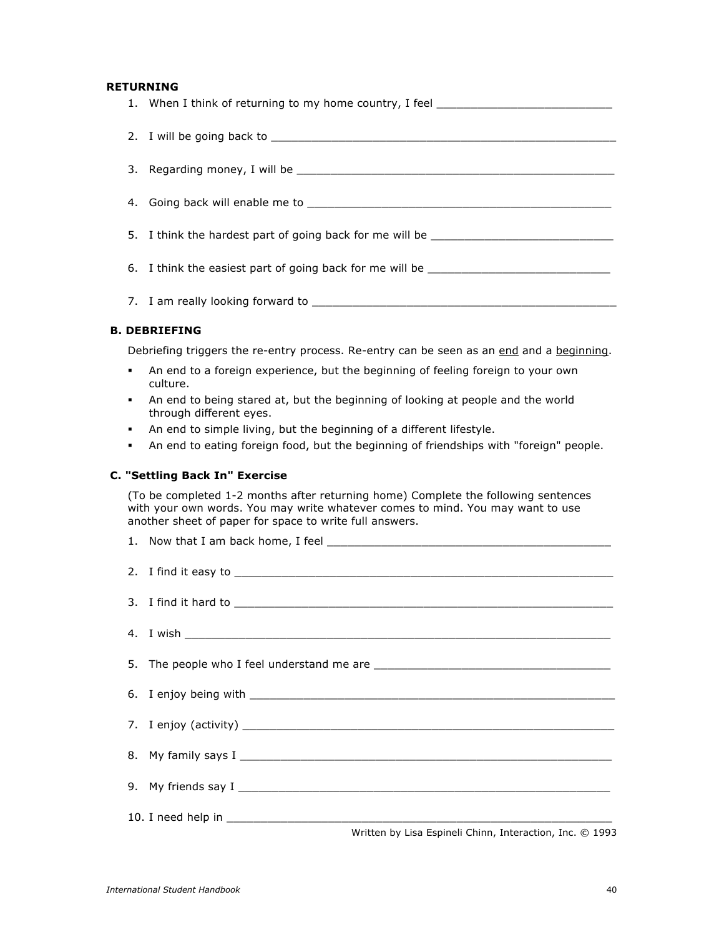## **RETURNING**

|                      | 1. When I think of returning to my home country, I feel ________________________ |  |
|----------------------|----------------------------------------------------------------------------------|--|
|                      |                                                                                  |  |
|                      |                                                                                  |  |
|                      |                                                                                  |  |
|                      | 5. I think the hardest part of going back for me will be _______________________ |  |
|                      | 6. I think the easiest part of going back for me will be _______________________ |  |
|                      |                                                                                  |  |
| <b>B. DEBRIEFING</b> |                                                                                  |  |

Debriefing triggers the re-entry process. Re-entry can be seen as an end and a beginning.

- An end to a foreign experience, but the beginning of feeling foreign to your own culture.
- An end to being stared at, but the beginning of looking at people and the world through different eyes.
- An end to simple living, but the beginning of a different lifestyle.
- An end to eating foreign food, but the beginning of friendships with "foreign" people.

#### **C. "Settling Back In" Exercise**

(To be completed 1-2 months after returning home) Complete the following sentences with your own words. You may write whatever comes to mind. You may want to use another sheet of paper for space to write full answers.

| Written by Lisa Espineli Chinn, Interaction, Inc. © 1993 |  |  |  |
|----------------------------------------------------------|--|--|--|